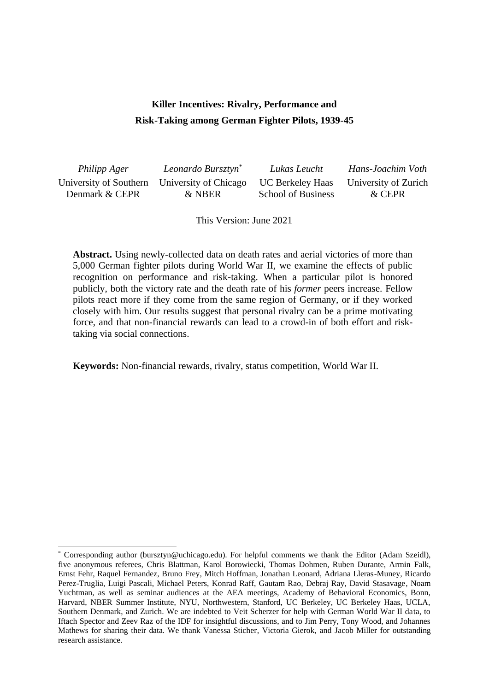# **Killer Incentives: Rivalry, Performance and Risk-Taking among German Fighter Pilots, 1939-45**

| Philipp Ager   | Leonardo Bursztyn <sup>*</sup>               | Lukas Leucht              | Hans-Joachim Voth    |
|----------------|----------------------------------------------|---------------------------|----------------------|
|                | University of Southern University of Chicago | UC Berkeley Haas          | University of Zurich |
| Denmark & CEPR | & NBER                                       | <b>School of Business</b> | & CEPR               |

This Version: June 2021

**Abstract.** Using newly-collected data on death rates and aerial victories of more than 5,000 German fighter pilots during World War II, we examine the effects of public recognition on performance and risk-taking. When a particular pilot is honored publicly, both the victory rate and the death rate of his *former* peers increase. Fellow pilots react more if they come from the same region of Germany, or if they worked closely with him. Our results suggest that personal rivalry can be a prime motivating force, and that non-financial rewards can lead to a crowd-in of both effort and risktaking via social connections.

**Keywords:** Non-financial rewards, rivalry, status competition, World War II.

<sup>\*</sup> Corresponding author (bursztyn@uchicago.edu). For helpful comments we thank the Editor (Adam Szeidl), five anonymous referees, Chris Blattman, Karol Borowiecki, Thomas Dohmen, Ruben Durante, Armin Falk, Ernst Fehr, Raquel Fernandez, Bruno Frey, Mitch Hoffman, Jonathan Leonard, Adriana Lleras-Muney, Ricardo Perez-Truglia, Luigi Pascali, Michael Peters, Konrad Raff, Gautam Rao, Debraj Ray, David Stasavage, Noam Yuchtman, as well as seminar audiences at the AEA meetings, Academy of Behavioral Economics, Bonn, Harvard, NBER Summer Institute, NYU, Northwestern, Stanford, UC Berkeley, UC Berkeley Haas, UCLA, Southern Denmark, and Zurich. We are indebted to Veit Scherzer for help with German World War II data, to Iftach Spector and Zeev Raz of the IDF for insightful discussions, and to Jim Perry, Tony Wood, and Johannes Mathews for sharing their data. We thank Vanessa Sticher, Victoria Gierok, and Jacob Miller for outstanding research assistance.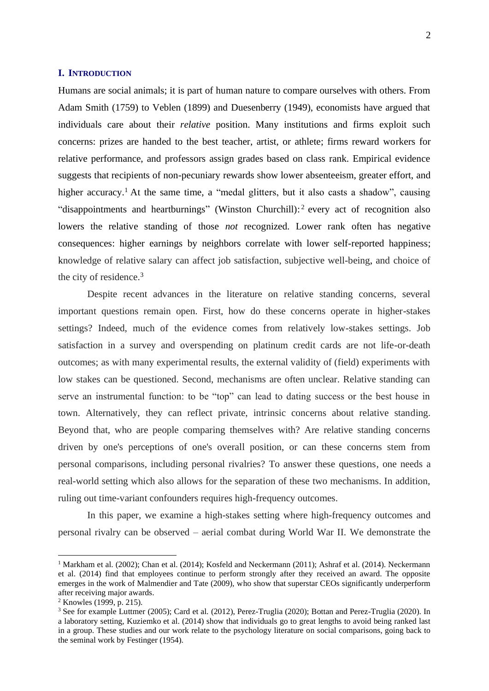### **I. INTRODUCTION**

Humans are social animals; it is part of human nature to compare ourselves with others. From Adam Smith (1759) to Veblen (1899) and Duesenberry (1949), economists have argued that individuals care about their *relative* position. Many institutions and firms exploit such concerns: prizes are handed to the best teacher, artist, or athlete; firms reward workers for relative performance, and professors assign grades based on class rank. Empirical evidence suggests that recipients of non-pecuniary rewards show lower absenteeism, greater effort, and higher accuracy.<sup>1</sup> At the same time, a "medal glitters, but it also casts a shadow", causing "disappointments and heartburnings" (Winston Churchill):<sup>2</sup> every act of recognition also lowers the relative standing of those *not* recognized. Lower rank often has negative consequences: higher earnings by neighbors correlate with lower self-reported happiness; knowledge of relative salary can affect job satisfaction, subjective well-being, and choice of the city of residence. 3

Despite recent advances in the literature on relative standing concerns, several important questions remain open. First, how do these concerns operate in higher-stakes settings? Indeed, much of the evidence comes from relatively low-stakes settings. Job satisfaction in a survey and overspending on platinum credit cards are not life-or-death outcomes; as with many experimental results, the external validity of (field) experiments with low stakes can be questioned. Second, mechanisms are often unclear. Relative standing can serve an instrumental function: to be "top" can lead to dating success or the best house in town. Alternatively, they can reflect private, intrinsic concerns about relative standing. Beyond that, who are people comparing themselves with? Are relative standing concerns driven by one's perceptions of one's overall position, or can these concerns stem from personal comparisons, including personal rivalries? To answer these questions, one needs a real-world setting which also allows for the separation of these two mechanisms. In addition, ruling out time-variant confounders requires high-frequency outcomes.

In this paper, we examine a high-stakes setting where high-frequency outcomes and personal rivalry can be observed – aerial combat during World War II. We demonstrate the

<sup>&</sup>lt;sup>1</sup> Markham et al. (2002); Chan et al. (2014); Kosfeld and Neckermann (2011); Ashraf et al. (2014). Neckermann et al. (2014) find that employees continue to perform strongly after they received an award. The opposite emerges in the work of Malmendier and Tate (2009), who show that superstar CEOs significantly underperform after receiving major awards.

<sup>2</sup> Knowles (1999, p. 215).

<sup>&</sup>lt;sup>3</sup> See for example Luttmer (2005); Card et al. (2012), Perez-Truglia (2020); Bottan and Perez-Truglia (2020). In a laboratory setting, Kuziemko et al. (2014) show that individuals go to great lengths to avoid being ranked last in a group. These studies and our work relate to the psychology literature on social comparisons, going back to the seminal work by Festinger (1954).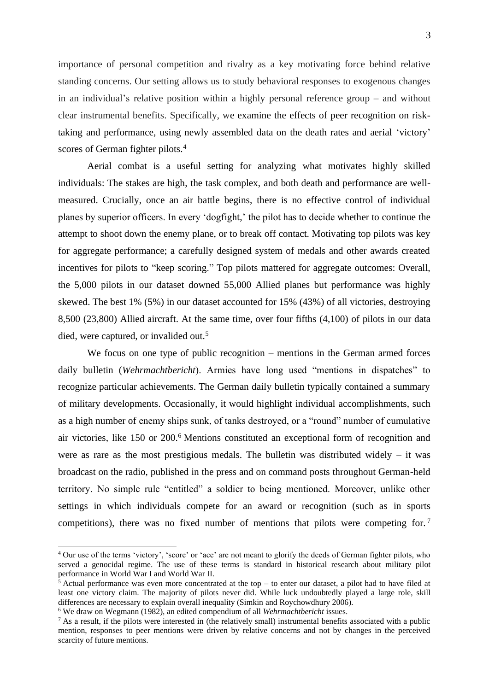importance of personal competition and rivalry as a key motivating force behind relative standing concerns. Our setting allows us to study behavioral responses to exogenous changes in an individual's relative position within a highly personal reference group – and without clear instrumental benefits. Specifically, we examine the effects of peer recognition on risktaking and performance, using newly assembled data on the death rates and aerial 'victory' scores of German fighter pilots.<sup>4</sup>

Aerial combat is a useful setting for analyzing what motivates highly skilled individuals: The stakes are high, the task complex, and both death and performance are wellmeasured. Crucially, once an air battle begins, there is no effective control of individual planes by superior officers. In every 'dogfight,' the pilot has to decide whether to continue the attempt to shoot down the enemy plane, or to break off contact. Motivating top pilots was key for aggregate performance; a carefully designed system of medals and other awards created incentives for pilots to "keep scoring." Top pilots mattered for aggregate outcomes: Overall, the 5,000 pilots in our dataset downed 55,000 Allied planes but performance was highly skewed. The best 1% (5%) in our dataset accounted for 15% (43%) of all victories, destroying 8,500 (23,800) Allied aircraft. At the same time, over four fifths (4,100) of pilots in our data died, were captured, or invalided out.<sup>5</sup>

We focus on one type of public recognition – mentions in the German armed forces daily bulletin (*Wehrmachtbericht*). Armies have long used "mentions in dispatches" to recognize particular achievements. The German daily bulletin typically contained a summary of military developments. Occasionally, it would highlight individual accomplishments, such as a high number of enemy ships sunk, of tanks destroyed, or a "round" number of cumulative air victories, like 150 or 200.<sup>6</sup> Mentions constituted an exceptional form of recognition and were as rare as the most prestigious medals. The bulletin was distributed widely  $-$  it was broadcast on the radio, published in the press and on command posts throughout German-held territory. No simple rule "entitled" a soldier to being mentioned. Moreover, unlike other settings in which individuals compete for an award or recognition (such as in sports competitions), there was no fixed number of mentions that pilots were competing for.<sup>7</sup>

<sup>4</sup> Our use of the terms 'victory', 'score' or 'ace' are not meant to glorify the deeds of German fighter pilots, who served a genocidal regime. The use of these terms is standard in historical research about military pilot performance in World War I and World War II.

 $\frac{5}{5}$  Actual performance was even more concentrated at the top – to enter our dataset, a pilot had to have filed at least one victory claim. The majority of pilots never did. While luck undoubtedly played a large role, skill differences are necessary to explain overall inequality (Simkin and Roychowdhury 2006).

<sup>6</sup> We draw on Wegmann (1982), an edited compendium of all *Wehrmachtbericht* issues.

 $<sup>7</sup>$  As a result, if the pilots were interested in (the relatively small) instrumental benefits associated with a public</sup> mention, responses to peer mentions were driven by relative concerns and not by changes in the perceived scarcity of future mentions.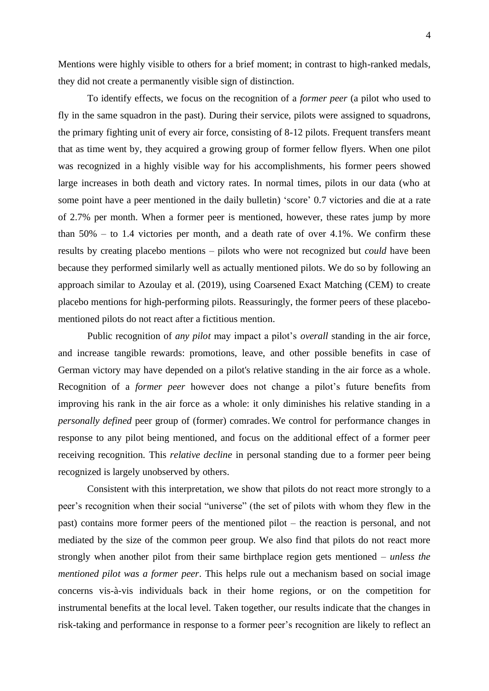Mentions were highly visible to others for a brief moment; in contrast to high-ranked medals, they did not create a permanently visible sign of distinction.

To identify effects, we focus on the recognition of a *former peer* (a pilot who used to fly in the same squadron in the past). During their service, pilots were assigned to squadrons, the primary fighting unit of every air force, consisting of 8-12 pilots. Frequent transfers meant that as time went by, they acquired a growing group of former fellow flyers. When one pilot was recognized in a highly visible way for his accomplishments, his former peers showed large increases in both death and victory rates. In normal times, pilots in our data (who at some point have a peer mentioned in the daily bulletin) 'score' 0.7 victories and die at a rate of 2.7% per month. When a former peer is mentioned, however, these rates jump by more than 50% – to 1.4 victories per month, and a death rate of over 4.1%. We confirm these results by creating placebo mentions – pilots who were not recognized but *could* have been because they performed similarly well as actually mentioned pilots. We do so by following an approach similar to Azoulay et al. (2019), using Coarsened Exact Matching (CEM) to create placebo mentions for high-performing pilots. Reassuringly, the former peers of these placebomentioned pilots do not react after a fictitious mention.

Public recognition of *any pilot* may impact a pilot's *overall* standing in the air force, and increase tangible rewards: promotions, leave, and other possible benefits in case of German victory may have depended on a pilot's relative standing in the air force as a whole. Recognition of a *former peer* however does not change a pilot's future benefits from improving his rank in the air force as a whole: it only diminishes his relative standing in a *personally defined* peer group of (former) comrades. We control for performance changes in response to any pilot being mentioned, and focus on the additional effect of a former peer receiving recognition. This *relative decline* in personal standing due to a former peer being recognized is largely unobserved by others.

Consistent with this interpretation, we show that pilots do not react more strongly to a peer's recognition when their social "universe" (the set of pilots with whom they flew in the past) contains more former peers of the mentioned pilot – the reaction is personal, and not mediated by the size of the common peer group. We also find that pilots do not react more strongly when another pilot from their same birthplace region gets mentioned – *unless the mentioned pilot was a former peer*. This helps rule out a mechanism based on social image concerns vis-à-vis individuals back in their home regions, or on the competition for instrumental benefits at the local level. Taken together, our results indicate that the changes in risk-taking and performance in response to a former peer's recognition are likely to reflect an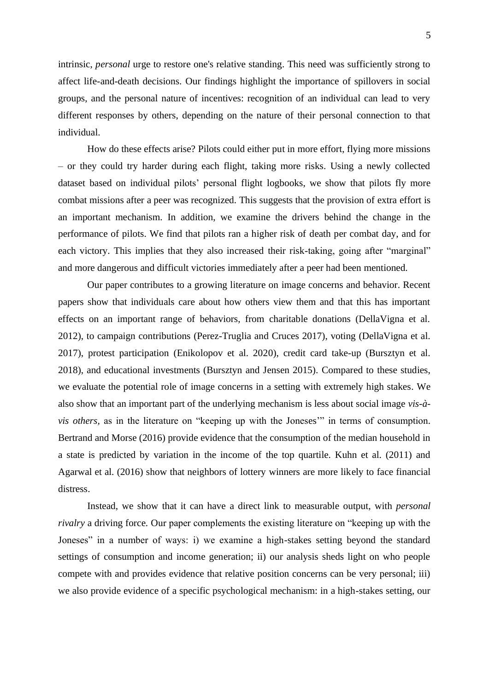intrinsic, *personal* urge to restore one's relative standing. This need was sufficiently strong to affect life-and-death decisions. Our findings highlight the importance of spillovers in social groups, and the personal nature of incentives: recognition of an individual can lead to very different responses by others, depending on the nature of their personal connection to that individual.

How do these effects arise? Pilots could either put in more effort, flying more missions – or they could try harder during each flight, taking more risks. Using a newly collected dataset based on individual pilots' personal flight logbooks, we show that pilots fly more combat missions after a peer was recognized. This suggests that the provision of extra effort is an important mechanism. In addition, we examine the drivers behind the change in the performance of pilots. We find that pilots ran a higher risk of death per combat day, and for each victory. This implies that they also increased their risk-taking, going after "marginal" and more dangerous and difficult victories immediately after a peer had been mentioned.

Our paper contributes to a growing literature on image concerns and behavior. Recent papers show that individuals care about how others view them and that this has important effects on an important range of behaviors, from charitable donations (DellaVigna et al. 2012), to campaign contributions (Perez-Truglia and Cruces 2017), voting (DellaVigna et al. 2017), protest participation (Enikolopov et al. 2020), credit card take-up (Bursztyn et al. 2018), and educational investments (Bursztyn and Jensen 2015). Compared to these studies, we evaluate the potential role of image concerns in a setting with extremely high stakes. We also show that an important part of the underlying mechanism is less about social image *vis-àvis others,* as in the literature on "keeping up with the Joneses'" in terms of consumption. Bertrand and Morse (2016) provide evidence that the consumption of the median household in a state is predicted by variation in the income of the top quartile. Kuhn et al. (2011) and Agarwal et al. (2016) show that neighbors of lottery winners are more likely to face financial distress.

Instead, we show that it can have a direct link to measurable output, with *personal rivalry* a driving force*.* Our paper complements the existing literature on "keeping up with the Joneses" in a number of ways: i) we examine a high-stakes setting beyond the standard settings of consumption and income generation; ii) our analysis sheds light on who people compete with and provides evidence that relative position concerns can be very personal; iii) we also provide evidence of a specific psychological mechanism: in a high-stakes setting, our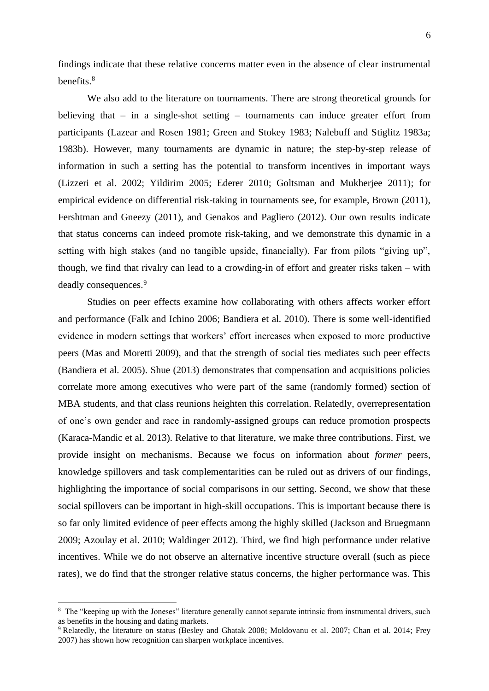findings indicate that these relative concerns matter even in the absence of clear instrumental benefits. 8

We also add to the literature on tournaments. There are strong theoretical grounds for believing that – in a single-shot setting – tournaments can induce greater effort from participants (Lazear and Rosen 1981; Green and Stokey 1983; Nalebuff and Stiglitz 1983a; 1983b). However, many tournaments are dynamic in nature; the step-by-step release of information in such a setting has the potential to transform incentives in important ways (Lizzeri et al. 2002; Yildirim 2005; Ederer 2010; Goltsman and Mukherjee 2011); for empirical evidence on differential risk-taking in tournaments see, for example, Brown (2011), Fershtman and Gneezy (2011), and Genakos and Pagliero (2012). Our own results indicate that status concerns can indeed promote risk-taking, and we demonstrate this dynamic in a setting with high stakes (and no tangible upside, financially). Far from pilots "giving up", though, we find that rivalry can lead to a crowding-in of effort and greater risks taken – with deadly consequences.<sup>9</sup>

Studies on peer effects examine how collaborating with others affects worker effort and performance (Falk and Ichino 2006; Bandiera et al. 2010). There is some well-identified evidence in modern settings that workers' effort increases when exposed to more productive peers (Mas and Moretti 2009), and that the strength of social ties mediates such peer effects (Bandiera et al. 2005). Shue (2013) demonstrates that compensation and acquisitions policies correlate more among executives who were part of the same (randomly formed) section of MBA students, and that class reunions heighten this correlation. Relatedly, overrepresentation of one's own gender and race in randomly-assigned groups can reduce promotion prospects (Karaca-Mandic et al. 2013). Relative to that literature, we make three contributions. First, we provide insight on mechanisms. Because we focus on information about *former* peers, knowledge spillovers and task complementarities can be ruled out as drivers of our findings, highlighting the importance of social comparisons in our setting. Second, we show that these social spillovers can be important in high-skill occupations. This is important because there is so far only limited evidence of peer effects among the highly skilled (Jackson and Bruegmann 2009; Azoulay et al. 2010; Waldinger 2012). Third, we find high performance under relative incentives. While we do not observe an alternative incentive structure overall (such as piece rates), we do find that the stronger relative status concerns, the higher performance was. This

<sup>&</sup>lt;sup>8</sup> The "keeping up with the Joneses" literature generally cannot separate intrinsic from instrumental drivers, such as benefits in the housing and dating markets.

<sup>&</sup>lt;sup>9</sup> Relatedly, the literature on status (Besley and Ghatak 2008; Moldovanu et al. 2007; Chan et al. 2014; Frey 2007) has shown how recognition can sharpen workplace incentives.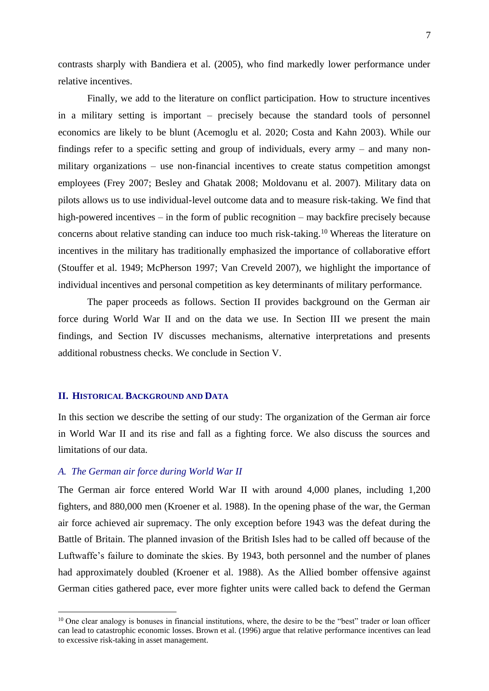contrasts sharply with Bandiera et al. (2005), who find markedly lower performance under relative incentives.

Finally, we add to the literature on conflict participation. How to structure incentives in a military setting is important – precisely because the standard tools of personnel economics are likely to be blunt (Acemoglu et al. 2020; Costa and Kahn 2003). While our findings refer to a specific setting and group of individuals, every army – and many nonmilitary organizations – use non-financial incentives to create status competition amongst employees (Frey 2007; Besley and Ghatak 2008; Moldovanu et al. 2007). Military data on pilots allows us to use individual-level outcome data and to measure risk-taking. We find that high-powered incentives – in the form of public recognition – may backfire precisely because concerns about relative standing can induce too much risk-taking.<sup>10</sup> Whereas the literature on incentives in the military has traditionally emphasized the importance of collaborative effort (Stouffer et al. 1949; McPherson 1997; Van Creveld 2007), we highlight the importance of individual incentives and personal competition as key determinants of military performance.

The paper proceeds as follows. Section II provides background on the German air force during World War II and on the data we use. In Section III we present the main findings, and Section IV discusses mechanisms, alternative interpretations and presents additional robustness checks. We conclude in Section V.

### **II. HISTORICAL BACKGROUND AND DATA**

In this section we describe the setting of our study: The organization of the German air force in World War II and its rise and fall as a fighting force. We also discuss the sources and limitations of our data.

## *A. The German air force during World War II*

The German air force entered World War II with around 4,000 planes, including 1,200 fighters, and 880,000 men (Kroener et al. 1988). In the opening phase of the war, the German air force achieved air supremacy. The only exception before 1943 was the defeat during the Battle of Britain. The planned invasion of the British Isles had to be called off because of the Luftwaffe's failure to dominate the skies. By 1943, both personnel and the number of planes had approximately doubled (Kroener et al. 1988). As the Allied bomber offensive against German cities gathered pace, ever more fighter units were called back to defend the German

<sup>&</sup>lt;sup>10</sup> One clear analogy is bonuses in financial institutions, where, the desire to be the "best" trader or loan officer can lead to catastrophic economic losses. Brown et al. (1996) argue that relative performance incentives can lead to excessive risk-taking in asset management.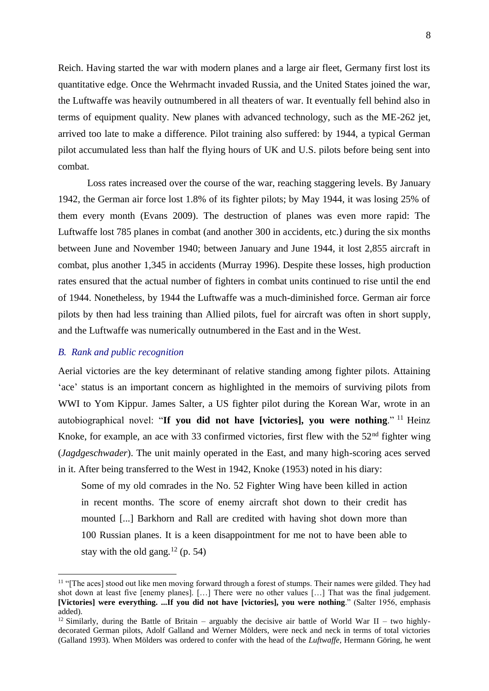Reich. Having started the war with modern planes and a large air fleet, Germany first lost its quantitative edge. Once the Wehrmacht invaded Russia, and the United States joined the war, the Luftwaffe was heavily outnumbered in all theaters of war. It eventually fell behind also in terms of equipment quality. New planes with advanced technology, such as the ME-262 jet, arrived too late to make a difference. Pilot training also suffered: by 1944, a typical German pilot accumulated less than half the flying hours of UK and U.S. pilots before being sent into combat.

Loss rates increased over the course of the war, reaching staggering levels. By January 1942, the German air force lost 1.8% of its fighter pilots; by May 1944, it was losing 25% of them every month (Evans 2009). The destruction of planes was even more rapid: The Luftwaffe lost 785 planes in combat (and another 300 in accidents, etc.) during the six months between June and November 1940; between January and June 1944, it lost 2,855 aircraft in combat, plus another 1,345 in accidents (Murray 1996). Despite these losses, high production rates ensured that the actual number of fighters in combat units continued to rise until the end of 1944. Nonetheless, by 1944 the Luftwaffe was a much-diminished force. German air force pilots by then had less training than Allied pilots, fuel for aircraft was often in short supply, and the Luftwaffe was numerically outnumbered in the East and in the West.

#### *B. Rank and public recognition*

Aerial victories are the key determinant of relative standing among fighter pilots. Attaining 'ace' status is an important concern as highlighted in the memoirs of surviving pilots from WWI to Yom Kippur. James Salter, a US fighter pilot during the Korean War, wrote in an autobiographical novel: "**If you did not have [victories], you were nothing**." <sup>11</sup> Heinz Knoke, for example, an ace with 33 confirmed victories, first flew with the  $52<sup>nd</sup>$  fighter wing (*Jagdgeschwader*). The unit mainly operated in the East, and many high-scoring aces served in it. After being transferred to the West in 1942, Knoke (1953) noted in his diary:

Some of my old comrades in the No. 52 Fighter Wing have been killed in action in recent months. The score of enemy aircraft shot down to their credit has mounted [...] Barkhorn and Rall are credited with having shot down more than 100 Russian planes. It is a keen disappointment for me not to have been able to stay with the old gang*.* <sup>12</sup> (p. 54)

<sup>&</sup>lt;sup>11</sup> "[The aces] stood out like men moving forward through a forest of stumps. Their names were gilded. They had shot down at least five [enemy planes]. […] There were no other values […] That was the final judgement. **[Victories] were everything. ...If you did not have [victories], you were nothing**." (Salter 1956, emphasis added).

<sup>&</sup>lt;sup>12</sup> Similarly, during the Battle of Britain – arguably the decisive air battle of World War II – two highlydecorated German pilots, Adolf Galland and Werner Mölders, were neck and neck in terms of total victories (Galland 1993). When Mölders was ordered to confer with the head of the *Luftwaffe*, Hermann Göring, he went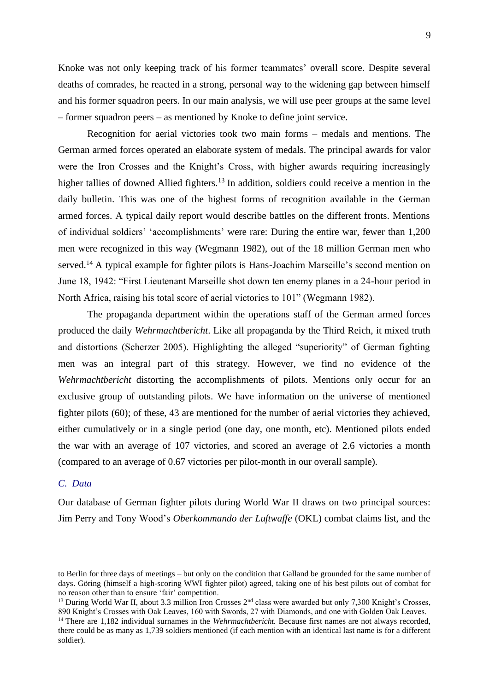Knoke was not only keeping track of his former teammates' overall score. Despite several deaths of comrades, he reacted in a strong, personal way to the widening gap between himself and his former squadron peers. In our main analysis, we will use peer groups at the same level – former squadron peers – as mentioned by Knoke to define joint service.

Recognition for aerial victories took two main forms – medals and mentions. The German armed forces operated an elaborate system of medals. The principal awards for valor were the Iron Crosses and the Knight's Cross, with higher awards requiring increasingly higher tallies of downed Allied fighters.<sup>13</sup> In addition, soldiers could receive a mention in the daily bulletin. This was one of the highest forms of recognition available in the German armed forces. A typical daily report would describe battles on the different fronts. Mentions of individual soldiers' 'accomplishments' were rare: During the entire war, fewer than 1,200 men were recognized in this way (Wegmann 1982), out of the 18 million German men who served.<sup>14</sup> A typical example for fighter pilots is Hans-Joachim Marseille's second mention on June 18, 1942: "First Lieutenant Marseille shot down ten enemy planes in a 24-hour period in North Africa, raising his total score of aerial victories to 101" (Wegmann 1982).

The propaganda department within the operations staff of the German armed forces produced the daily *Wehrmachtbericht*. Like all propaganda by the Third Reich, it mixed truth and distortions (Scherzer 2005). Highlighting the alleged "superiority" of German fighting men was an integral part of this strategy. However, we find no evidence of the *Wehrmachtbericht* distorting the accomplishments of pilots. Mentions only occur for an exclusive group of outstanding pilots. We have information on the universe of mentioned fighter pilots (60); of these, 43 are mentioned for the number of aerial victories they achieved, either cumulatively or in a single period (one day, one month, etc). Mentioned pilots ended the war with an average of 107 victories, and scored an average of 2.6 victories a month (compared to an average of 0.67 victories per pilot-month in our overall sample).

# *C. Data*

Our database of German fighter pilots during World War II draws on two principal sources: Jim Perry and Tony Wood's *Oberkommando der Luftwaffe* (OKL) combat claims list, and the

to Berlin for three days of meetings – but only on the condition that Galland be grounded for the same number of days. Göring (himself a high-scoring WWI fighter pilot) agreed, taking one of his best pilots out of combat for no reason other than to ensure 'fair' competition.

<sup>&</sup>lt;sup>13</sup> During World War II, about 3.3 million Iron Crosses 2<sup>nd</sup> class were awarded but only 7,300 Knight's Crosses, 890 Knight's Crosses with Oak Leaves, 160 with Swords, 27 with Diamonds, and one with Golden Oak Leaves.

<sup>&</sup>lt;sup>14</sup> There are 1,182 individual surnames in the *Wehrmachtbericht*. Because first names are not always recorded, there could be as many as 1,739 soldiers mentioned (if each mention with an identical last name is for a different soldier).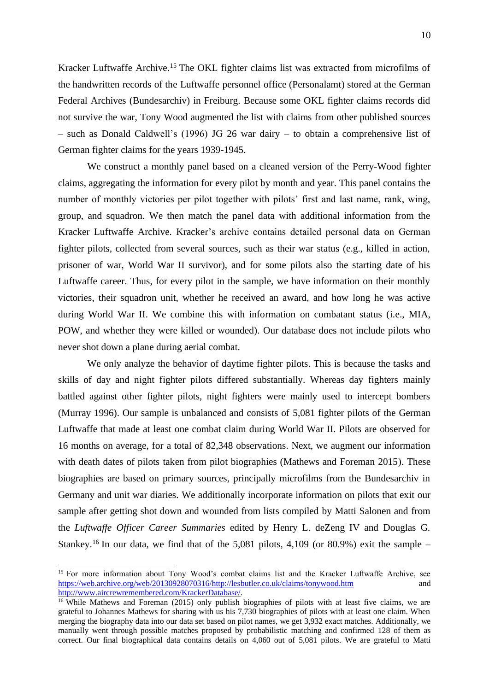Kracker Luftwaffe Archive.<sup>15</sup> The OKL fighter claims list was extracted from microfilms of the handwritten records of the Luftwaffe personnel office (Personalamt) stored at the German Federal Archives (Bundesarchiv) in Freiburg. Because some OKL fighter claims records did not survive the war, Tony Wood augmented the list with claims from other published sources – such as Donald Caldwell's (1996) JG 26 war dairy – to obtain a comprehensive list of German fighter claims for the years 1939-1945.

We construct a monthly panel based on a cleaned version of the Perry-Wood fighter claims, aggregating the information for every pilot by month and year. This panel contains the number of monthly victories per pilot together with pilots' first and last name, rank, wing, group, and squadron. We then match the panel data with additional information from the Kracker Luftwaffe Archive. Kracker's archive contains detailed personal data on German fighter pilots, collected from several sources, such as their war status (e.g., killed in action, prisoner of war, World War II survivor), and for some pilots also the starting date of his Luftwaffe career. Thus, for every pilot in the sample, we have information on their monthly victories, their squadron unit, whether he received an award, and how long he was active during World War II. We combine this with information on combatant status (i.e., MIA, POW, and whether they were killed or wounded). Our database does not include pilots who never shot down a plane during aerial combat.

We only analyze the behavior of daytime fighter pilots. This is because the tasks and skills of day and night fighter pilots differed substantially. Whereas day fighters mainly battled against other fighter pilots, night fighters were mainly used to intercept bombers (Murray 1996). Our sample is unbalanced and consists of 5,081 fighter pilots of the German Luftwaffe that made at least one combat claim during World War II. Pilots are observed for 16 months on average, for a total of 82,348 observations. Next, we augment our information with death dates of pilots taken from pilot biographies (Mathews and Foreman 2015). These biographies are based on primary sources, principally microfilms from the Bundesarchiv in Germany and unit war diaries. We additionally incorporate information on pilots that exit our sample after getting shot down and wounded from lists compiled by Matti Salonen and from the *Luftwaffe Officer Career Summaries* edited by Henry L. deZeng IV and Douglas G. Stankey.<sup>16</sup> In our data, we find that of the 5,081 pilots, 4,109 (or 80.9%) exit the sample –

<sup>&</sup>lt;sup>15</sup> For more information about Tony Wood's combat claims list and the Kracker Luftwaffe Archive, see [https://web.archive.org/web/20130928070316/http://lesbutler.co.uk/claims/tonywood.htm](https://web.archive.org/web/20130928070316/http:/lesbutler.co.uk/claims/tonywood.htm) and [http://www.aircrewremembered.com/KrackerDatabase/.](http://www.aircrewremembered.com/KrackerDatabase/)

<sup>&</sup>lt;sup>16</sup> While Mathews and Foreman (2015) only publish biographies of pilots with at least five claims, we are grateful to Johannes Mathews for sharing with us his 7,730 biographies of pilots with at least one claim. When merging the biography data into our data set based on pilot names, we get 3,932 exact matches. Additionally, we manually went through possible matches proposed by probabilistic matching and confirmed 128 of them as correct. Our final biographical data contains details on 4,060 out of 5,081 pilots. We are grateful to Matti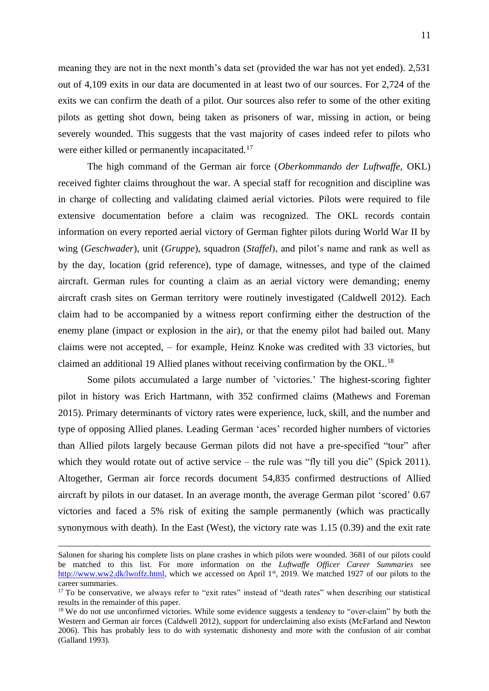meaning they are not in the next month's data set (provided the war has not yet ended). 2,531 out of 4,109 exits in our data are documented in at least two of our sources. For 2,724 of the exits we can confirm the death of a pilot. Our sources also refer to some of the other exiting pilots as getting shot down, being taken as prisoners of war, missing in action, or being severely wounded. This suggests that the vast majority of cases indeed refer to pilots who were either killed or permanently incapacitated.<sup>17</sup>

The high command of the German air force (*Oberkommando der Luftwaffe*, OKL) received fighter claims throughout the war. A special staff for recognition and discipline was in charge of collecting and validating claimed aerial victories. Pilots were required to file extensive documentation before a claim was recognized. The OKL records contain information on every reported aerial victory of German fighter pilots during World War II by wing (*Geschwader*), unit (*Gruppe*), squadron (*Staffel*), and pilot's name and rank as well as by the day, location (grid reference), type of damage, witnesses, and type of the claimed aircraft. German rules for counting a claim as an aerial victory were demanding; enemy aircraft crash sites on German territory were routinely investigated (Caldwell 2012). Each claim had to be accompanied by a witness report confirming either the destruction of the enemy plane (impact or explosion in the air), or that the enemy pilot had bailed out. Many claims were not accepted, – for example, Heinz Knoke was credited with 33 victories, but claimed an additional 19 Allied planes without receiving confirmation by the OKL.<sup>18</sup>

Some pilots accumulated a large number of 'victories.' The highest-scoring fighter pilot in history was Erich Hartmann, with 352 confirmed claims (Mathews and Foreman 2015). Primary determinants of victory rates were experience, luck, skill, and the number and type of opposing Allied planes. Leading German 'aces' recorded higher numbers of victories than Allied pilots largely because German pilots did not have a pre-specified "tour" after which they would rotate out of active service – the rule was "fly till you die" (Spick 2011). Altogether, German air force records document 54,835 confirmed destructions of Allied aircraft by pilots in our dataset. In an average month, the average German pilot 'scored' 0.67 victories and faced a 5% risk of exiting the sample permanently (which was practically synonymous with death). In the East (West), the victory rate was 1.15 (0.39) and the exit rate

Salonen for sharing his complete lists on plane crashes in which pilots were wounded. 3681 of our pilots could be matched to this list. For more information on the *Luftwaffe Officer Career Summaries* see [http://www.ww2.dk/lwoffz.html,](http://www.ww2.dk/lwoffz.html) which we accessed on April 1<sup>st</sup>, 2019. We matched 1927 of our pilots to the career summaries.

<sup>&</sup>lt;sup>17</sup> To be conservative, we always refer to "exit rates" instead of "death rates" when describing our statistical results in the remainder of this paper.

<sup>&</sup>lt;sup>18</sup> We do not use unconfirmed victories. While some evidence suggests a tendency to "over-claim" by both the Western and German air forces (Caldwell 2012), support for underclaiming also exists (McFarland and Newton 2006). This has probably less to do with systematic dishonesty and more with the confusion of air combat (Galland 1993).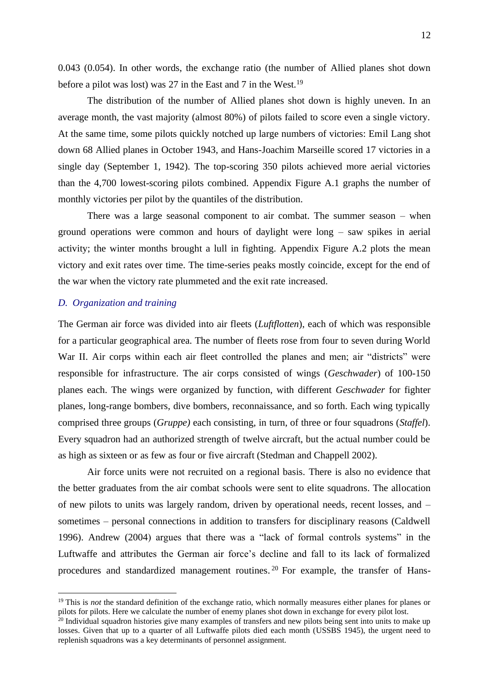0.043 (0.054). In other words, the exchange ratio (the number of Allied planes shot down before a pilot was lost) was 27 in the East and 7 in the West.<sup>19</sup>

The distribution of the number of Allied planes shot down is highly uneven. In an average month, the vast majority (almost 80%) of pilots failed to score even a single victory. At the same time, some pilots quickly notched up large numbers of victories: Emil Lang shot down 68 Allied planes in October 1943, and Hans-Joachim Marseille scored 17 victories in a single day (September 1, 1942). The top-scoring 350 pilots achieved more aerial victories than the 4,700 lowest-scoring pilots combined. Appendix Figure A.1 graphs the number of monthly victories per pilot by the quantiles of the distribution.

There was a large seasonal component to air combat. The summer season – when ground operations were common and hours of daylight were long – saw spikes in aerial activity; the winter months brought a lull in fighting. Appendix Figure A.2 plots the mean victory and exit rates over time. The time-series peaks mostly coincide, except for the end of the war when the victory rate plummeted and the exit rate increased.

# *D. Organization and training*

The German air force was divided into air fleets (*Luftflotten*), each of which was responsible for a particular geographical area. The number of fleets rose from four to seven during World War II. Air corps within each air fleet controlled the planes and men; air "districts" were responsible for infrastructure. The air corps consisted of wings (*Geschwader*) of 100-150 planes each. The wings were organized by function, with different *Geschwader* for fighter planes, long-range bombers, dive bombers, reconnaissance, and so forth. Each wing typically comprised three groups (*Gruppe)* each consisting, in turn, of three or four squadrons (*Staffel*). Every squadron had an authorized strength of twelve aircraft, but the actual number could be as high as sixteen or as few as four or five aircraft (Stedman and Chappell 2002).

Air force units were not recruited on a regional basis. There is also no evidence that the better graduates from the air combat schools were sent to elite squadrons. The allocation of new pilots to units was largely random, driven by operational needs, recent losses, and – sometimes – personal connections in addition to transfers for disciplinary reasons (Caldwell 1996). Andrew (2004) argues that there was a "lack of formal controls systems" in the Luftwaffe and attributes the German air force's decline and fall to its lack of formalized procedures and standardized management routines. <sup>20</sup> For example, the transfer of Hans-

<sup>&</sup>lt;sup>19</sup> This is *not* the standard definition of the exchange ratio, which normally measures either planes for planes or pilots for pilots. Here we calculate the number of enemy planes shot down in exchange for every pilot lost.

<sup>&</sup>lt;sup>20</sup> Individual squadron histories give many examples of transfers and new pilots being sent into units to make up losses. Given that up to a quarter of all Luftwaffe pilots died each month (USSBS 1945), the urgent need to replenish squadrons was a key determinants of personnel assignment.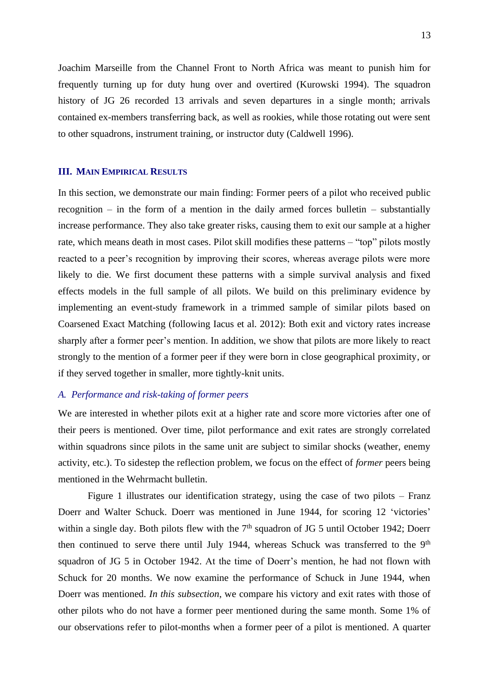Joachim Marseille from the Channel Front to North Africa was meant to punish him for frequently turning up for duty hung over and overtired (Kurowski 1994). The squadron history of JG 26 recorded 13 arrivals and seven departures in a single month; arrivals contained ex-members transferring back, as well as rookies, while those rotating out were sent to other squadrons, instrument training, or instructor duty (Caldwell 1996).

### **III. MAIN EMPIRICAL RESULTS**

In this section, we demonstrate our main finding: Former peers of a pilot who received public recognition – in the form of a mention in the daily armed forces bulletin – substantially increase performance. They also take greater risks, causing them to exit our sample at a higher rate, which means death in most cases. Pilot skill modifies these patterns – "top" pilots mostly reacted to a peer's recognition by improving their scores, whereas average pilots were more likely to die. We first document these patterns with a simple survival analysis and fixed effects models in the full sample of all pilots. We build on this preliminary evidence by implementing an event-study framework in a trimmed sample of similar pilots based on Coarsened Exact Matching (following Iacus et al. 2012): Both exit and victory rates increase sharply after a former peer's mention. In addition, we show that pilots are more likely to react strongly to the mention of a former peer if they were born in close geographical proximity, or if they served together in smaller, more tightly-knit units.

### *A. Performance and risk-taking of former peers*

We are interested in whether pilots exit at a higher rate and score more victories after one of their peers is mentioned. Over time, pilot performance and exit rates are strongly correlated within squadrons since pilots in the same unit are subject to similar shocks (weather, enemy activity, etc.). To sidestep the reflection problem, we focus on the effect of *former* peers being mentioned in the Wehrmacht bulletin.

Figure 1 illustrates our identification strategy, using the case of two pilots – Franz Doerr and Walter Schuck. Doerr was mentioned in June 1944, for scoring 12 'victories' within a single day. Both pilots flew with the  $7<sup>th</sup>$  squadron of JG 5 until October 1942; Doerr then continued to serve there until July 1944, whereas Schuck was transferred to the 9<sup>th</sup> squadron of JG 5 in October 1942. At the time of Doerr's mention, he had not flown with Schuck for 20 months. We now examine the performance of Schuck in June 1944, when Doerr was mentioned. *In this subsection*, we compare his victory and exit rates with those of other pilots who do not have a former peer mentioned during the same month. Some 1% of our observations refer to pilot-months when a former peer of a pilot is mentioned. A quarter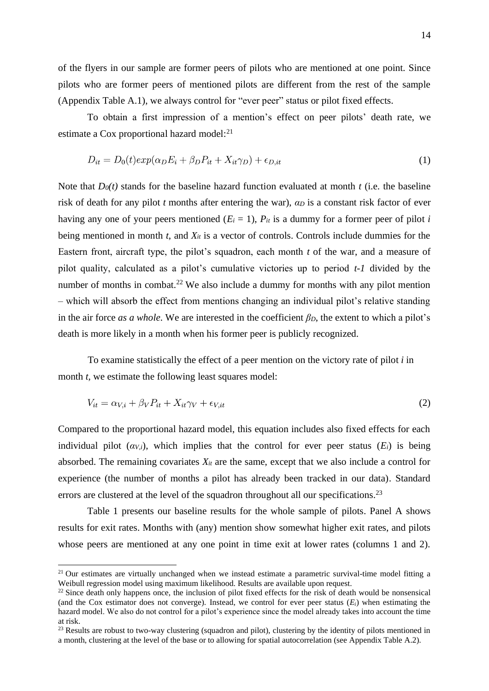of the flyers in our sample are former peers of pilots who are mentioned at one point. Since pilots who are former peers of mentioned pilots are different from the rest of the sample (Appendix Table A.1), we always control for "ever peer" status or pilot fixed effects.

To obtain a first impression of a mention's effect on peer pilots' death rate, we estimate a Cox proportional hazard model:<sup>21</sup>

$$
D_{it} = D_0(t) exp(\alpha_D E_i + \beta_D P_{it} + X_{it}\gamma_D) + \epsilon_{D, it}
$$
\n(1)

Note that  $D_0(t)$  stands for the baseline hazard function evaluated at month  $t$  (i.e. the baseline risk of death for any pilot *t* months after entering the war), *α<sup>D</sup>* is a constant risk factor of ever having any one of your peers mentioned ( $E_i = 1$ ),  $P_{it}$  is a dummy for a former peer of pilot *i* being mentioned in month *t*, and *Xit* is a vector of controls. Controls include dummies for the Eastern front, aircraft type, the pilot's squadron, each month *t* of the war, and a measure of pilot quality, calculated as a pilot's cumulative victories up to period *t-1* divided by the number of months in combat.<sup>22</sup> We also include a dummy for months with any pilot mention – which will absorb the effect from mentions changing an individual pilot's relative standing in the air force *as a whole*. We are interested in the coefficient *βD*, the extent to which a pilot's death is more likely in a month when his former peer is publicly recognized.

To examine statistically the effect of a peer mention on the victory rate of pilot *i* in month *t*, we estimate the following least squares model:

$$
V_{it} = \alpha_{V,i} + \beta_V P_{it} + X_{it}\gamma_V + \epsilon_{V,it}
$$
\n<sup>(2)</sup>

Compared to the proportional hazard model, this equation includes also fixed effects for each individual pilot  $(\alpha_{V,i})$ , which implies that the control for ever peer status  $(E_i)$  is being absorbed. The remaining covariates  $X_{it}$  are the same, except that we also include a control for experience (the number of months a pilot has already been tracked in our data). Standard errors are clustered at the level of the squadron throughout all our specifications.<sup>23</sup>

Table 1 presents our baseline results for the whole sample of pilots. Panel A shows results for exit rates. Months with (any) mention show somewhat higher exit rates, and pilots whose peers are mentioned at any one point in time exit at lower rates (columns 1 and 2).

<sup>&</sup>lt;sup>21</sup> Our estimates are virtually unchanged when we instead estimate a parametric survival-time model fitting a Weibull regression model using maximum likelihood. Results are available upon request.

<sup>&</sup>lt;sup>22</sup> Since death only happens once, the inclusion of pilot fixed effects for the risk of death would be nonsensical (and the Cox estimator does not converge). Instead, we control for ever peer status  $(E_i)$  when estimating the hazard model. We also do not control for a pilot's experience since the model already takes into account the time at risk.

 $^{23}$  Results are robust to two-way clustering (squadron and pilot), clustering by the identity of pilots mentioned in a month, clustering at the level of the base or to allowing for spatial autocorrelation (see Appendix Table A.2).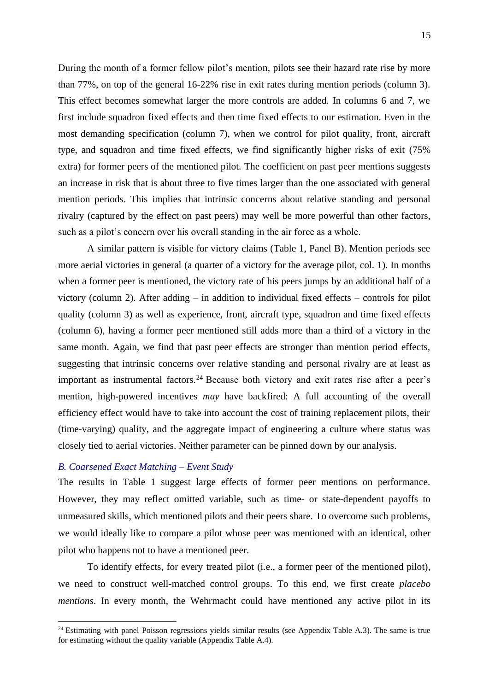During the month of a former fellow pilot's mention, pilots see their hazard rate rise by more than 77%, on top of the general 16-22% rise in exit rates during mention periods (column 3). This effect becomes somewhat larger the more controls are added. In columns 6 and 7, we first include squadron fixed effects and then time fixed effects to our estimation. Even in the most demanding specification (column 7), when we control for pilot quality, front, aircraft type, and squadron and time fixed effects, we find significantly higher risks of exit (75% extra) for former peers of the mentioned pilot. The coefficient on past peer mentions suggests an increase in risk that is about three to five times larger than the one associated with general mention periods. This implies that intrinsic concerns about relative standing and personal rivalry (captured by the effect on past peers) may well be more powerful than other factors, such as a pilot's concern over his overall standing in the air force as a whole.

A similar pattern is visible for victory claims (Table 1, Panel B). Mention periods see more aerial victories in general (a quarter of a victory for the average pilot, col. 1). In months when a former peer is mentioned, the victory rate of his peers jumps by an additional half of a victory (column 2). After adding – in addition to individual fixed effects – controls for pilot quality (column 3) as well as experience, front, aircraft type, squadron and time fixed effects (column 6), having a former peer mentioned still adds more than a third of a victory in the same month. Again, we find that past peer effects are stronger than mention period effects, suggesting that intrinsic concerns over relative standing and personal rivalry are at least as important as instrumental factors.<sup>24</sup> Because both victory and exit rates rise after a peer's mention, high-powered incentives *may* have backfired: A full accounting of the overall efficiency effect would have to take into account the cost of training replacement pilots, their (time-varying) quality, and the aggregate impact of engineering a culture where status was closely tied to aerial victories. Neither parameter can be pinned down by our analysis.

# *B. Coarsened Exact Matching – Event Study*

The results in Table 1 suggest large effects of former peer mentions on performance. However, they may reflect omitted variable, such as time- or state-dependent payoffs to unmeasured skills, which mentioned pilots and their peers share. To overcome such problems, we would ideally like to compare a pilot whose peer was mentioned with an identical, other pilot who happens not to have a mentioned peer.

To identify effects, for every treated pilot (i.e., a former peer of the mentioned pilot), we need to construct well-matched control groups. To this end, we first create *placebo mentions*. In every month, the Wehrmacht could have mentioned any active pilot in its

 $24$  Estimating with panel Poisson regressions yields similar results (see Appendix Table A.3). The same is true for estimating without the quality variable (Appendix Table A.4).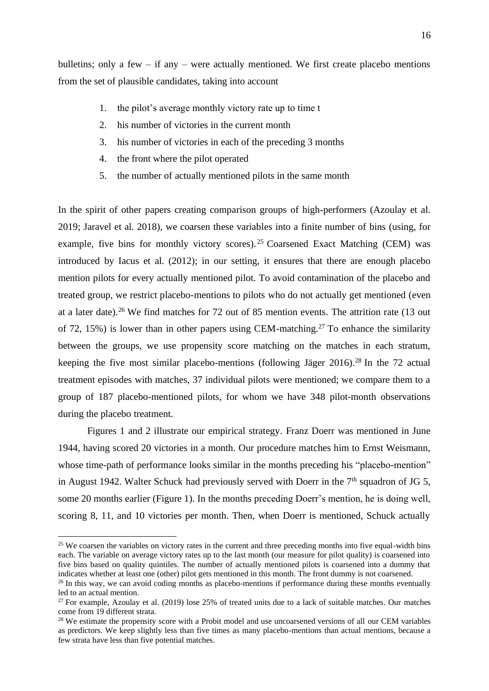bulletins; only a few – if any – were actually mentioned. We first create placebo mentions from the set of plausible candidates, taking into account

- 1. the pilot's average monthly victory rate up to time t
- 2. his number of victories in the current month
- 3. his number of victories in each of the preceding 3 months
- 4. the front where the pilot operated
- 5. the number of actually mentioned pilots in the same month

In the spirit of other papers creating comparison groups of high-performers (Azoulay et al. 2019; Jaravel et al. 2018), we coarsen these variables into a finite number of bins (using, for example, five bins for monthly victory scores).<sup>25</sup> Coarsened Exact Matching (CEM) was introduced by Iacus et al. (2012); in our setting, it ensures that there are enough placebo mention pilots for every actually mentioned pilot. To avoid contamination of the placebo and treated group, we restrict placebo-mentions to pilots who do not actually get mentioned (even at a later date). <sup>26</sup> We find matches for 72 out of 85 mention events. The attrition rate (13 out of 72, 15%) is lower than in other papers using CEM-matching. <sup>27</sup> To enhance the similarity between the groups, we use propensity score matching on the matches in each stratum, keeping the five most similar placebo-mentions (following Jäger 2016). <sup>28</sup> In the 72 actual treatment episodes with matches, 37 individual pilots were mentioned; we compare them to a group of 187 placebo-mentioned pilots, for whom we have 348 pilot-month observations during the placebo treatment.

Figures 1 and 2 illustrate our empirical strategy. Franz Doerr was mentioned in June 1944, having scored 20 victories in a month. Our procedure matches him to Ernst Weismann, whose time-path of performance looks similar in the months preceding his "placebo-mention" in August 1942. Walter Schuck had previously served with Doerr in the  $7<sup>th</sup>$  squadron of JG 5, some 20 months earlier (Figure 1). In the months preceding Doerr's mention, he is doing well, scoring 8, 11, and 10 victories per month. Then, when Doerr is mentioned, Schuck actually

<sup>&</sup>lt;sup>25</sup> We coarsen the variables on victory rates in the current and three preceding months into five equal-width bins each. The variable on average victory rates up to the last month (our measure for pilot quality) is coarsened into five bins based on quality quintiles. The number of actually mentioned pilots is coarsened into a dummy that indicates whether at least one (other) pilot gets mentioned in this month. The front dummy is not coarsened.

 $26$  In this way, we can avoid coding months as placebo-mentions if performance during these months eventually led to an actual mention.

 $27$  For example, Azoulay et al. (2019) lose 25% of treated units due to a lack of suitable matches. Our matches come from 19 different strata.

<sup>&</sup>lt;sup>28</sup> We estimate the propensity score with a Probit model and use uncoarsened versions of all our CEM variables as predictors. We keep slightly less than five times as many placebo-mentions than actual mentions, because a few strata have less than five potential matches.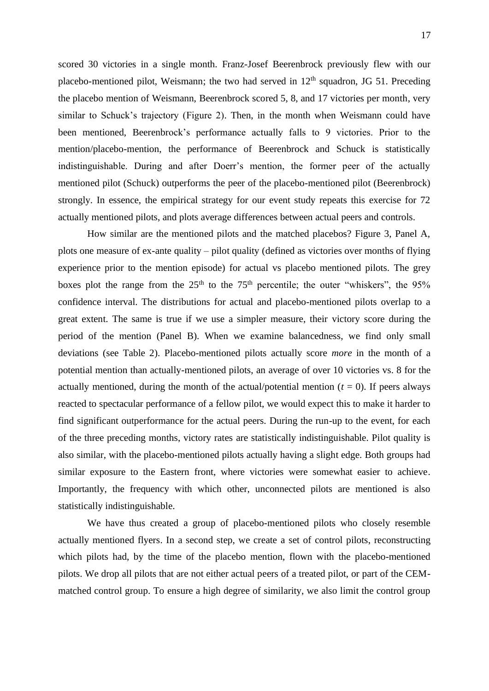scored 30 victories in a single month. Franz-Josef Beerenbrock previously flew with our placebo-mentioned pilot, Weismann; the two had served in  $12<sup>th</sup>$  squadron, JG 51. Preceding the placebo mention of Weismann, Beerenbrock scored 5, 8, and 17 victories per month, very similar to Schuck's trajectory (Figure 2). Then, in the month when Weismann could have been mentioned, Beerenbrock's performance actually falls to 9 victories. Prior to the mention/placebo-mention, the performance of Beerenbrock and Schuck is statistically indistinguishable. During and after Doerr's mention, the former peer of the actually mentioned pilot (Schuck) outperforms the peer of the placebo-mentioned pilot (Beerenbrock) strongly. In essence, the empirical strategy for our event study repeats this exercise for 72 actually mentioned pilots, and plots average differences between actual peers and controls.

How similar are the mentioned pilots and the matched placebos? Figure 3, Panel A, plots one measure of ex-ante quality – pilot quality (defined as victories over months of flying experience prior to the mention episode) for actual vs placebo mentioned pilots. The grey boxes plot the range from the  $25<sup>th</sup>$  to the  $75<sup>th</sup>$  percentile; the outer "whiskers", the 95% confidence interval. The distributions for actual and placebo-mentioned pilots overlap to a great extent. The same is true if we use a simpler measure, their victory score during the period of the mention (Panel B). When we examine balancedness, we find only small deviations (see Table 2). Placebo-mentioned pilots actually score *more* in the month of a potential mention than actually-mentioned pilots, an average of over 10 victories vs. 8 for the actually mentioned, during the month of the actual/potential mention  $(t = 0)$ . If peers always reacted to spectacular performance of a fellow pilot, we would expect this to make it harder to find significant outperformance for the actual peers. During the run-up to the event, for each of the three preceding months, victory rates are statistically indistinguishable. Pilot quality is also similar, with the placebo-mentioned pilots actually having a slight edge. Both groups had similar exposure to the Eastern front, where victories were somewhat easier to achieve. Importantly, the frequency with which other, unconnected pilots are mentioned is also statistically indistinguishable.

We have thus created a group of placebo-mentioned pilots who closely resemble actually mentioned flyers. In a second step, we create a set of control pilots, reconstructing which pilots had, by the time of the placebo mention, flown with the placebo-mentioned pilots. We drop all pilots that are not either actual peers of a treated pilot, or part of the CEMmatched control group. To ensure a high degree of similarity, we also limit the control group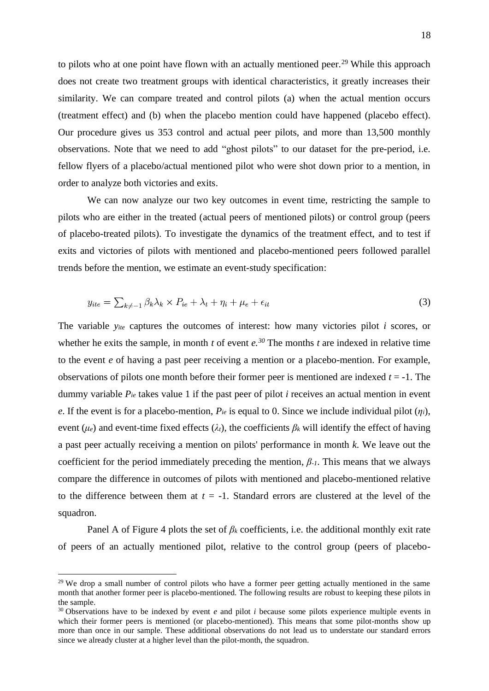to pilots who at one point have flown with an actually mentioned peer.<sup>29</sup> While this approach does not create two treatment groups with identical characteristics, it greatly increases their similarity. We can compare treated and control pilots (a) when the actual mention occurs (treatment effect) and (b) when the placebo mention could have happened (placebo effect). Our procedure gives us 353 control and actual peer pilots, and more than 13,500 monthly observations. Note that we need to add "ghost pilots" to our dataset for the pre-period, i.e. fellow flyers of a placebo/actual mentioned pilot who were shot down prior to a mention, in order to analyze both victories and exits.

We can now analyze our two key outcomes in event time, restricting the sample to pilots who are either in the treated (actual peers of mentioned pilots) or control group (peers of placebo-treated pilots). To investigate the dynamics of the treatment effect, and to test if exits and victories of pilots with mentioned and placebo-mentioned peers followed parallel trends before the mention, we estimate an event-study specification:

$$
y_{ite} = \sum_{k \neq -1} \beta_k \lambda_k \times P_{ie} + \lambda_t + \eta_i + \mu_e + \epsilon_{it}
$$
\n(3)

The variable *yite* captures the outcomes of interest: how many victories pilot *i* scores, or whether he exits the sample, in month  $t$  of event  $e^{i}$ . The months  $t$  are indexed in relative time to the event *e* of having a past peer receiving a mention or a placebo-mention. For example, observations of pilots one month before their former peer is mentioned are indexed *t* = -1. The dummy variable *Pie* takes value 1 if the past peer of pilot *i* receives an actual mention in event *e*. If the event is for a placebo-mention,  $P_{ie}$  is equal to 0. Since we include individual pilot  $(\eta_i)$ , event ( $\mu_e$ ) and event-time fixed effects ( $\lambda_t$ ), the coefficients  $\beta_k$  will identify the effect of having a past peer actually receiving a mention on pilots' performance in month *k*. We leave out the coefficient for the period immediately preceding the mention, *β-1*. This means that we always compare the difference in outcomes of pilots with mentioned and placebo-mentioned relative to the difference between them at  $t = -1$ . Standard errors are clustered at the level of the squadron.

Panel A of Figure 4 plots the set of *β<sup>k</sup>* coefficients, i.e. the additional monthly exit rate of peers of an actually mentioned pilot, relative to the control group (peers of placebo-

<sup>&</sup>lt;sup>29</sup> We drop a small number of control pilots who have a former peer getting actually mentioned in the same month that another former peer is placebo-mentioned. The following results are robust to keeping these pilots in the sample.

<sup>&</sup>lt;sup>30</sup> Observations have to be indexed by event *e* and pilot *i* because some pilots experience multiple events in which their former peers is mentioned (or placebo-mentioned). This means that some pilot-months show up more than once in our sample. These additional observations do not lead us to understate our standard errors since we already cluster at a higher level than the pilot-month, the squadron.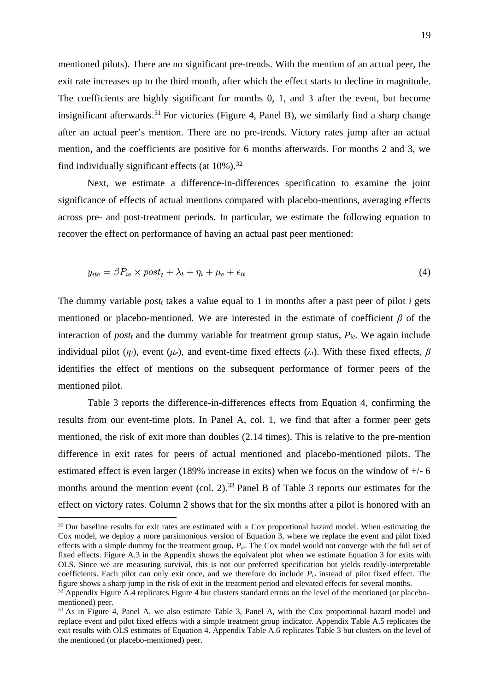mentioned pilots). There are no significant pre-trends. With the mention of an actual peer, the exit rate increases up to the third month, after which the effect starts to decline in magnitude. The coefficients are highly significant for months 0, 1, and 3 after the event, but become insignificant afterwards.<sup>31</sup> For victories (Figure 4, Panel B), we similarly find a sharp change after an actual peer's mention. There are no pre-trends. Victory rates jump after an actual mention, and the coefficients are positive for 6 months afterwards. For months 2 and 3, we find individually significant effects (at 10%).<sup>32</sup>

Next, we estimate a difference-in-differences specification to examine the joint significance of effects of actual mentions compared with placebo-mentions, averaging effects across pre- and post-treatment periods. In particular, we estimate the following equation to recover the effect on performance of having an actual past peer mentioned:

$$
y_{ite} = \beta P_{ie} \times post_t + \lambda_t + \eta_i + \mu_e + \epsilon_{it}
$$
\n<sup>(4)</sup>

The dummy variable *post<sub>t</sub>* takes a value equal to 1 in months after a past peer of pilot *i* gets mentioned or placebo-mentioned. We are interested in the estimate of coefficient *β* of the interaction of *post<sup>t</sup>* and the dummy variable for treatment group status, *Pie*. We again include individual pilot ( $\eta$ *i*), event ( $\mu$ *e*), and event-time fixed effects ( $\lambda$ *t*). With these fixed effects,  $\beta$ identifies the effect of mentions on the subsequent performance of former peers of the mentioned pilot.

Table 3 reports the difference-in-differences effects from Equation 4, confirming the results from our event-time plots. In Panel A, col. 1, we find that after a former peer gets mentioned, the risk of exit more than doubles (2.14 times). This is relative to the pre-mention difference in exit rates for peers of actual mentioned and placebo-mentioned pilots. The estimated effect is even larger (189% increase in exits) when we focus on the window of +/- 6 months around the mention event (col. 2).<sup>33</sup> Panel B of Table 3 reports our estimates for the effect on victory rates. Column 2 shows that for the six months after a pilot is honored with an

<sup>&</sup>lt;sup>31</sup> Our baseline results for exit rates are estimated with a Cox proportional hazard model. When estimating the Cox model, we deploy a more parsimonious version of Equation 3, where we replace the event and pilot fixed effects with a simple dummy for the treatment group, *Pie*. The Cox model would not converge with the full set of fixed effects. Figure A.3 in the Appendix shows the equivalent plot when we estimate Equation 3 for exits with OLS. Since we are measuring survival, this is not our preferred specification but yields readily-interpretable coefficients. Each pilot can only exit once, and we therefore do include *Pie* instead of pilot fixed effect. The figure shows a sharp jump in the risk of exit in the treatment period and elevated effects for several months.

<sup>&</sup>lt;sup>32</sup> Appendix Figure A.4 replicates Figure 4 but clusters standard errors on the level of the mentioned (or placebomentioned) peer.

<sup>&</sup>lt;sup>33</sup> As in Figure 4, Panel A, we also estimate Table 3, Panel A, with the Cox proportional hazard model and replace event and pilot fixed effects with a simple treatment group indicator. Appendix Table A.5 replicates the exit results with OLS estimates of Equation 4. Appendix Table A.6 replicates Table 3 but clusters on the level of the mentioned (or placebo-mentioned) peer.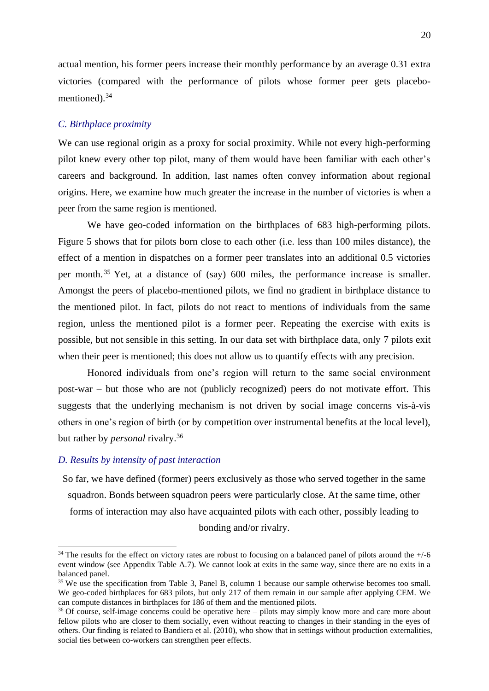actual mention, his former peers increase their monthly performance by an average 0.31 extra victories (compared with the performance of pilots whose former peer gets placebomentioned).<sup>34</sup>

# *C. Birthplace proximity*

We can use regional origin as a proxy for social proximity. While not every high-performing pilot knew every other top pilot, many of them would have been familiar with each other's careers and background. In addition, last names often convey information about regional origins. Here, we examine how much greater the increase in the number of victories is when a peer from the same region is mentioned.

We have geo-coded information on the birthplaces of 683 high-performing pilots. Figure 5 shows that for pilots born close to each other (i.e. less than 100 miles distance), the effect of a mention in dispatches on a former peer translates into an additional 0.5 victories per month.<sup>35</sup> Yet, at a distance of (say) 600 miles, the performance increase is smaller. Amongst the peers of placebo-mentioned pilots, we find no gradient in birthplace distance to the mentioned pilot. In fact, pilots do not react to mentions of individuals from the same region, unless the mentioned pilot is a former peer. Repeating the exercise with exits is possible, but not sensible in this setting. In our data set with birthplace data, only 7 pilots exit when their peer is mentioned; this does not allow us to quantify effects with any precision.

Honored individuals from one's region will return to the same social environment post-war – but those who are not (publicly recognized) peers do not motivate effort. This suggests that the underlying mechanism is not driven by social image concerns vis-à-vis others in one's region of birth (or by competition over instrumental benefits at the local level), but rather by *personal* rivalry. 36

### *D. Results by intensity of past interaction*

So far, we have defined (former) peers exclusively as those who served together in the same squadron. Bonds between squadron peers were particularly close. At the same time, other forms of interaction may also have acquainted pilots with each other, possibly leading to bonding and/or rivalry.

 $34$  The results for the effect on victory rates are robust to focusing on a balanced panel of pilots around the  $+/-6$ event window (see Appendix Table A.7). We cannot look at exits in the same way, since there are no exits in a balanced panel.

<sup>&</sup>lt;sup>35</sup> We use the specification from Table 3, Panel B, column 1 because our sample otherwise becomes too small. We geo-coded birthplaces for 683 pilots, but only 217 of them remain in our sample after applying CEM. We can compute distances in birthplaces for 186 of them and the mentioned pilots.

<sup>&</sup>lt;sup>36</sup> Of course, self-image concerns could be operative here – pilots may simply know more and care more about fellow pilots who are closer to them socially, even without reacting to changes in their standing in the eyes of others. Our finding is related to Bandiera et al. (2010), who show that in settings without production externalities, social ties between co-workers can strengthen peer effects.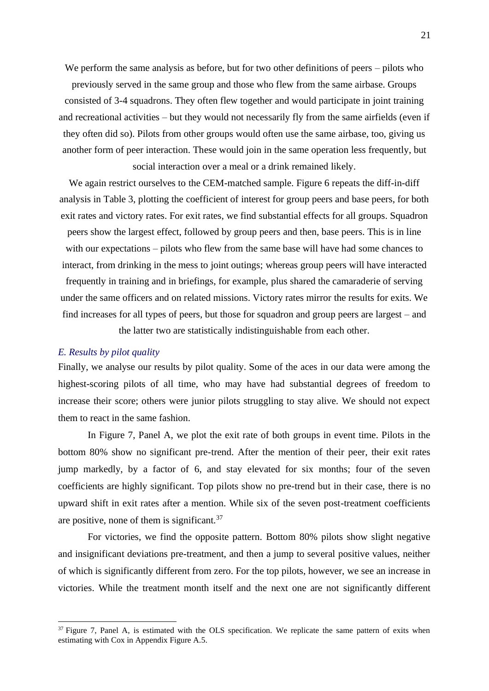We perform the same analysis as before, but for two other definitions of peers – pilots who previously served in the same group and those who flew from the same airbase. Groups consisted of 3-4 squadrons. They often flew together and would participate in joint training and recreational activities – but they would not necessarily fly from the same airfields (even if they often did so). Pilots from other groups would often use the same airbase, too, giving us another form of peer interaction. These would join in the same operation less frequently, but social interaction over a meal or a drink remained likely.

We again restrict ourselves to the CEM-matched sample. Figure 6 repeats the diff-in-diff analysis in Table 3, plotting the coefficient of interest for group peers and base peers, for both exit rates and victory rates. For exit rates, we find substantial effects for all groups. Squadron peers show the largest effect, followed by group peers and then, base peers. This is in line with our expectations – pilots who flew from the same base will have had some chances to interact, from drinking in the mess to joint outings; whereas group peers will have interacted frequently in training and in briefings, for example, plus shared the camaraderie of serving under the same officers and on related missions. Victory rates mirror the results for exits. We find increases for all types of peers, but those for squadron and group peers are largest – and the latter two are statistically indistinguishable from each other.

#### *E. Results by pilot quality*

Finally, we analyse our results by pilot quality. Some of the aces in our data were among the highest-scoring pilots of all time, who may have had substantial degrees of freedom to increase their score; others were junior pilots struggling to stay alive. We should not expect them to react in the same fashion.

In Figure 7, Panel A, we plot the exit rate of both groups in event time. Pilots in the bottom 80% show no significant pre-trend. After the mention of their peer, their exit rates jump markedly, by a factor of 6, and stay elevated for six months; four of the seven coefficients are highly significant. Top pilots show no pre-trend but in their case, there is no upward shift in exit rates after a mention. While six of the seven post-treatment coefficients are positive, none of them is significant.<sup>37</sup>

For victories, we find the opposite pattern. Bottom 80% pilots show slight negative and insignificant deviations pre-treatment, and then a jump to several positive values, neither of which is significantly different from zero. For the top pilots, however, we see an increase in victories. While the treatment month itself and the next one are not significantly different

 $37$  Figure 7, Panel A, is estimated with the OLS specification. We replicate the same pattern of exits when estimating with Cox in Appendix Figure A.5.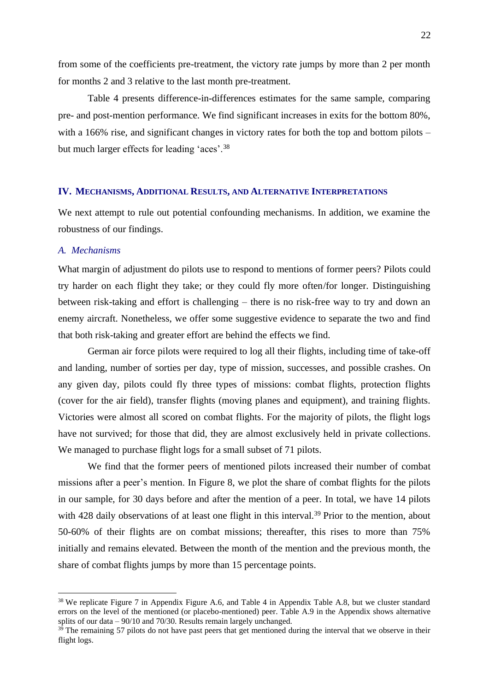from some of the coefficients pre-treatment, the victory rate jumps by more than 2 per month for months 2 and 3 relative to the last month pre-treatment.

Table 4 presents difference-in-differences estimates for the same sample, comparing pre- and post-mention performance. We find significant increases in exits for the bottom 80%, with a 166% rise, and significant changes in victory rates for both the top and bottom pilots – but much larger effects for leading 'aces'.<sup>38</sup>

#### **IV. MECHANISMS, ADDITIONAL RESULTS, AND ALTERNATIVE INTERPRETATIONS**

We next attempt to rule out potential confounding mechanisms. In addition, we examine the robustness of our findings.

### *A. Mechanisms*

What margin of adjustment do pilots use to respond to mentions of former peers? Pilots could try harder on each flight they take; or they could fly more often/for longer. Distinguishing between risk-taking and effort is challenging – there is no risk-free way to try and down an enemy aircraft. Nonetheless, we offer some suggestive evidence to separate the two and find that both risk-taking and greater effort are behind the effects we find.

German air force pilots were required to log all their flights, including time of take-off and landing, number of sorties per day, type of mission, successes, and possible crashes. On any given day, pilots could fly three types of missions: combat flights, protection flights (cover for the air field), transfer flights (moving planes and equipment), and training flights. Victories were almost all scored on combat flights. For the majority of pilots, the flight logs have not survived; for those that did, they are almost exclusively held in private collections. We managed to purchase flight logs for a small subset of 71 pilots.

We find that the former peers of mentioned pilots increased their number of combat missions after a peer's mention. In Figure 8, we plot the share of combat flights for the pilots in our sample, for 30 days before and after the mention of a peer. In total, we have 14 pilots with 428 daily observations of at least one flight in this interval.<sup>39</sup> Prior to the mention, about 50-60% of their flights are on combat missions; thereafter, this rises to more than 75% initially and remains elevated. Between the month of the mention and the previous month, the share of combat flights jumps by more than 15 percentage points.

<sup>&</sup>lt;sup>38</sup> We replicate Figure 7 in Appendix Figure A.6, and Table 4 in Appendix Table A.8, but we cluster standard errors on the level of the mentioned (or placebo-mentioned) peer. Table A.9 in the Appendix shows alternative splits of our data – 90/10 and 70/30. Results remain largely unchanged.

 $39$ <sup>39</sup> The remaining 57 pilots do not have past peers that get mentioned during the interval that we observe in their flight logs.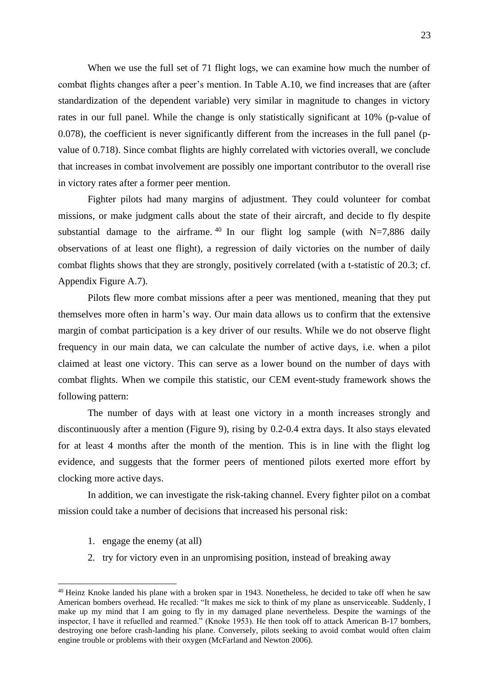When we use the full set of 71 flight logs, we can examine how much the number of combat flights changes after a peer's mention. In Table A.10, we find increases that are (after standardization of the dependent variable) very similar in magnitude to changes in victory rates in our full panel. While the change is only statistically significant at 10% (p-value of 0.078), the coefficient is never significantly different from the increases in the full panel (pvalue of 0.718). Since combat flights are highly correlated with victories overall, we conclude that increases in combat involvement are possibly one important contributor to the overall rise in victory rates after a former peer mention.

Fighter pilots had many margins of adjustment. They could volunteer for combat missions, or make judgment calls about the state of their aircraft, and decide to fly despite substantial damage to the airframe.<sup>40</sup> In our flight log sample (with  $N=7,886$  daily observations of at least one flight), a regression of daily victories on the number of daily combat flights shows that they are strongly, positively correlated (with a t-statistic of 20.3; cf. Appendix Figure A.7).

Pilots flew more combat missions after a peer was mentioned, meaning that they put themselves more often in harm's way. Our main data allows us to confirm that the extensive margin of combat participation is a key driver of our results. While we do not observe flight frequency in our main data, we can calculate the number of active days, i.e. when a pilot claimed at least one victory. This can serve as a lower bound on the number of days with combat flights. When we compile this statistic, our CEM event-study framework shows the following pattern:

The number of days with at least one victory in a month increases strongly and discontinuously after a mention (Figure 9), rising by 0.2-0.4 extra days. It also stays elevated for at least 4 months after the month of the mention. This is in line with the flight log evidence, and suggests that the former peers of mentioned pilots exerted more effort by clocking more active days.

In addition, we can investigate the risk-taking channel. Every fighter pilot on a combat mission could take a number of decisions that increased his personal risk:

- 1. engage the enemy (at all)
- 2. try for victory even in an unpromising position, instead of breaking away

<sup>&</sup>lt;sup>40</sup> Heinz Knoke landed his plane with a broken spar in 1943. Nonetheless, he decided to take off when he saw American bombers overhead. He recalled: "It makes me sick to think of my plane as unserviceable. Suddenly, I make up my mind that I am going to fly in my damaged plane nevertheless. Despite the warnings of the inspector, I have it refuelled and rearmed." (Knoke 1953). He then took off to attack American B-17 bombers, destroying one before crash-landing his plane. Conversely, pilots seeking to avoid combat would often claim engine trouble or problems with their oxygen (McFarland and Newton 2006).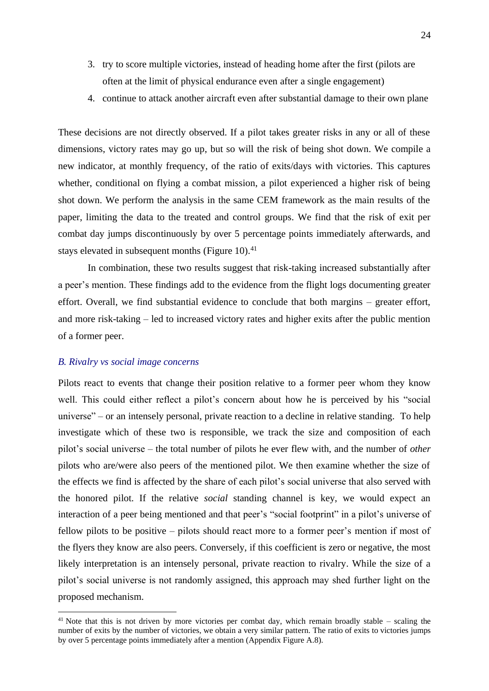- 3. try to score multiple victories, instead of heading home after the first (pilots are often at the limit of physical endurance even after a single engagement)
- 4. continue to attack another aircraft even after substantial damage to their own plane

These decisions are not directly observed. If a pilot takes greater risks in any or all of these dimensions, victory rates may go up, but so will the risk of being shot down. We compile a new indicator, at monthly frequency, of the ratio of exits/days with victories. This captures whether, conditional on flying a combat mission, a pilot experienced a higher risk of being shot down. We perform the analysis in the same CEM framework as the main results of the paper, limiting the data to the treated and control groups. We find that the risk of exit per combat day jumps discontinuously by over 5 percentage points immediately afterwards, and stays elevated in subsequent months (Figure 10). $41$ 

In combination, these two results suggest that risk-taking increased substantially after a peer's mention. These findings add to the evidence from the flight logs documenting greater effort. Overall, we find substantial evidence to conclude that both margins – greater effort, and more risk-taking – led to increased victory rates and higher exits after the public mention of a former peer.

### *B. Rivalry vs social image concerns*

Pilots react to events that change their position relative to a former peer whom they know well. This could either reflect a pilot's concern about how he is perceived by his "social universe" – or an intensely personal, private reaction to a decline in relative standing. To help investigate which of these two is responsible, we track the size and composition of each pilot's social universe – the total number of pilots he ever flew with, and the number of *other*  pilots who are/were also peers of the mentioned pilot. We then examine whether the size of the effects we find is affected by the share of each pilot's social universe that also served with the honored pilot. If the relative *social* standing channel is key, we would expect an interaction of a peer being mentioned and that peer's "social footprint" in a pilot's universe of fellow pilots to be positive – pilots should react more to a former peer's mention if most of the flyers they know are also peers. Conversely, if this coefficient is zero or negative, the most likely interpretation is an intensely personal, private reaction to rivalry. While the size of a pilot's social universe is not randomly assigned, this approach may shed further light on the proposed mechanism.

 $41$  Note that this is not driven by more victories per combat day, which remain broadly stable – scaling the number of exits by the number of victories, we obtain a very similar pattern. The ratio of exits to victories jumps by over 5 percentage points immediately after a mention (Appendix Figure A.8).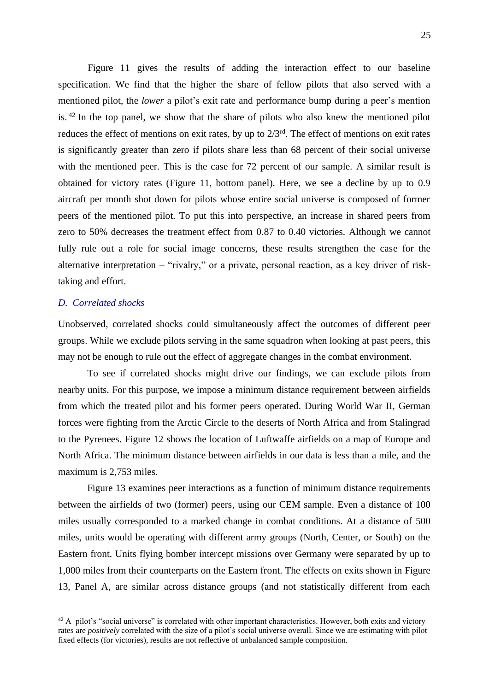Figure 11 gives the results of adding the interaction effect to our baseline specification. We find that the higher the share of fellow pilots that also served with a mentioned pilot, the *lower* a pilot's exit rate and performance bump during a peer's mention is. <sup>42</sup> In the top panel, we show that the share of pilots who also knew the mentioned pilot reduces the effect of mentions on exit rates, by up to  $2/3<sup>rd</sup>$ . The effect of mentions on exit rates is significantly greater than zero if pilots share less than 68 percent of their social universe with the mentioned peer. This is the case for 72 percent of our sample. A similar result is obtained for victory rates (Figure 11, bottom panel). Here, we see a decline by up to 0.9 aircraft per month shot down for pilots whose entire social universe is composed of former peers of the mentioned pilot. To put this into perspective, an increase in shared peers from zero to 50% decreases the treatment effect from 0.87 to 0.40 victories. Although we cannot fully rule out a role for social image concerns, these results strengthen the case for the alternative interpretation – "rivalry," or a private, personal reaction, as a key driver of risktaking and effort.

# *D. Correlated shocks*

Unobserved, correlated shocks could simultaneously affect the outcomes of different peer groups. While we exclude pilots serving in the same squadron when looking at past peers, this may not be enough to rule out the effect of aggregate changes in the combat environment.

To see if correlated shocks might drive our findings, we can exclude pilots from nearby units. For this purpose, we impose a minimum distance requirement between airfields from which the treated pilot and his former peers operated. During World War II, German forces were fighting from the Arctic Circle to the deserts of North Africa and from Stalingrad to the Pyrenees. Figure 12 shows the location of Luftwaffe airfields on a map of Europe and North Africa. The minimum distance between airfields in our data is less than a mile, and the maximum is 2,753 miles.

Figure 13 examines peer interactions as a function of minimum distance requirements between the airfields of two (former) peers, using our CEM sample. Even a distance of 100 miles usually corresponded to a marked change in combat conditions. At a distance of 500 miles, units would be operating with different army groups (North, Center, or South) on the Eastern front. Units flying bomber intercept missions over Germany were separated by up to 1,000 miles from their counterparts on the Eastern front. The effects on exits shown in Figure 13, Panel A, are similar across distance groups (and not statistically different from each

 $42$  A pilot's "social universe" is correlated with other important characteristics. However, both exits and victory rates are *positively* correlated with the size of a pilot's social universe overall. Since we are estimating with pilot fixed effects (for victories), results are not reflective of unbalanced sample composition.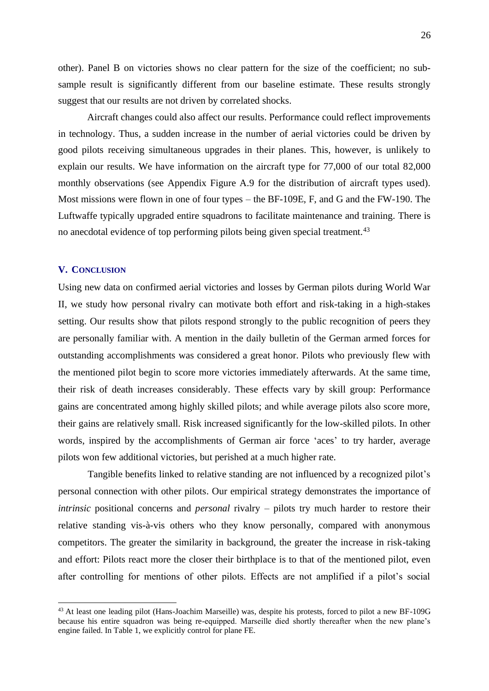other). Panel B on victories shows no clear pattern for the size of the coefficient; no subsample result is significantly different from our baseline estimate. These results strongly suggest that our results are not driven by correlated shocks.

Aircraft changes could also affect our results. Performance could reflect improvements in technology. Thus, a sudden increase in the number of aerial victories could be driven by good pilots receiving simultaneous upgrades in their planes. This, however, is unlikely to explain our results. We have information on the aircraft type for 77,000 of our total 82,000 monthly observations (see Appendix Figure A.9 for the distribution of aircraft types used). Most missions were flown in one of four types – the BF-109E, F, and G and the FW-190. The Luftwaffe typically upgraded entire squadrons to facilitate maintenance and training. There is no anecdotal evidence of top performing pilots being given special treatment.<sup>43</sup>

### **V. CONCLUSION**

Using new data on confirmed aerial victories and losses by German pilots during World War II, we study how personal rivalry can motivate both effort and risk-taking in a high-stakes setting. Our results show that pilots respond strongly to the public recognition of peers they are personally familiar with. A mention in the daily bulletin of the German armed forces for outstanding accomplishments was considered a great honor. Pilots who previously flew with the mentioned pilot begin to score more victories immediately afterwards. At the same time, their risk of death increases considerably. These effects vary by skill group: Performance gains are concentrated among highly skilled pilots; and while average pilots also score more, their gains are relatively small. Risk increased significantly for the low-skilled pilots. In other words, inspired by the accomplishments of German air force 'aces' to try harder, average pilots won few additional victories, but perished at a much higher rate.

Tangible benefits linked to relative standing are not influenced by a recognized pilot's personal connection with other pilots. Our empirical strategy demonstrates the importance of *intrinsic* positional concerns and *personal* rivalry – pilots try much harder to restore their relative standing vis-à-vis others who they know personally, compared with anonymous competitors. The greater the similarity in background, the greater the increase in risk-taking and effort: Pilots react more the closer their birthplace is to that of the mentioned pilot, even after controlling for mentions of other pilots. Effects are not amplified if a pilot's social

<sup>43</sup> At least one leading pilot (Hans-Joachim Marseille) was, despite his protests, forced to pilot a new BF-109G because his entire squadron was being re-equipped. Marseille died shortly thereafter when the new plane's engine failed. In Table 1, we explicitly control for plane FE.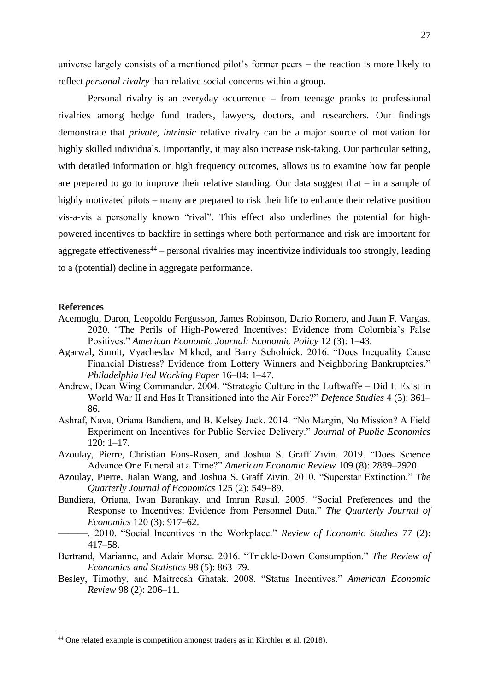universe largely consists of a mentioned pilot's former peers – the reaction is more likely to reflect *personal rivalry* than relative social concerns within a group.

Personal rivalry is an everyday occurrence – from teenage pranks to professional rivalries among hedge fund traders, lawyers, doctors, and researchers. Our findings demonstrate that *private*, *intrinsic* relative rivalry can be a major source of motivation for highly skilled individuals. Importantly, it may also increase risk-taking. Our particular setting, with detailed information on high frequency outcomes, allows us to examine how far people are prepared to go to improve their relative standing. Our data suggest that  $-$  in a sample of highly motivated pilots – many are prepared to risk their life to enhance their relative position vis-a-vis a personally known "rival". This effect also underlines the potential for highpowered incentives to backfire in settings where both performance and risk are important for aggregate effectiveness<sup>44</sup> – personal rivalries may incentivize individuals too strongly, leading to a (potential) decline in aggregate performance.

### **References**

- Acemoglu, Daron, Leopoldo Fergusson, James Robinson, Dario Romero, and Juan F. Vargas. 2020. "The Perils of High-Powered Incentives: Evidence from Colombia's False Positives." *American Economic Journal: Economic Policy* 12 (3): 1–43.
- Agarwal, Sumit, Vyacheslav Mikhed, and Barry Scholnick. 2016. "Does Inequality Cause Financial Distress? Evidence from Lottery Winners and Neighboring Bankruptcies." *Philadelphia Fed Working Paper* 16–04: 1–47.
- Andrew, Dean Wing Commander. 2004. "Strategic Culture in the Luftwaffe Did It Exist in World War II and Has It Transitioned into the Air Force?" *Defence Studies* 4 (3): 361– 86.
- Ashraf, Nava, Oriana Bandiera, and B. Kelsey Jack. 2014. "No Margin, No Mission? A Field Experiment on Incentives for Public Service Delivery." *Journal of Public Economics* 120: 1–17.
- Azoulay, Pierre, Christian Fons-Rosen, and Joshua S. Graff Zivin. 2019. "Does Science Advance One Funeral at a Time?" *American Economic Review* 109 (8): 2889–2920.
- Azoulay, Pierre, Jialan Wang, and Joshua S. Graff Zivin. 2010. "Superstar Extinction." *The Quarterly Journal of Economics* 125 (2): 549–89.
- Bandiera, Oriana, Iwan Barankay, and Imran Rasul. 2005. "Social Preferences and the Response to Incentives: Evidence from Personnel Data." *The Quarterly Journal of Economics* 120 (3): 917–62.
- ———. 2010. "Social Incentives in the Workplace." *Review of Economic Studies* 77 (2): 417–58.
- Bertrand, Marianne, and Adair Morse. 2016. "Trickle-Down Consumption." *The Review of Economics and Statistics* 98 (5): 863–79.
- Besley, Timothy, and Maitreesh Ghatak. 2008. "Status Incentives." *American Economic Review* 98 (2): 206–11.

<sup>44</sup> One related example is competition amongst traders as in Kirchler et al. (2018).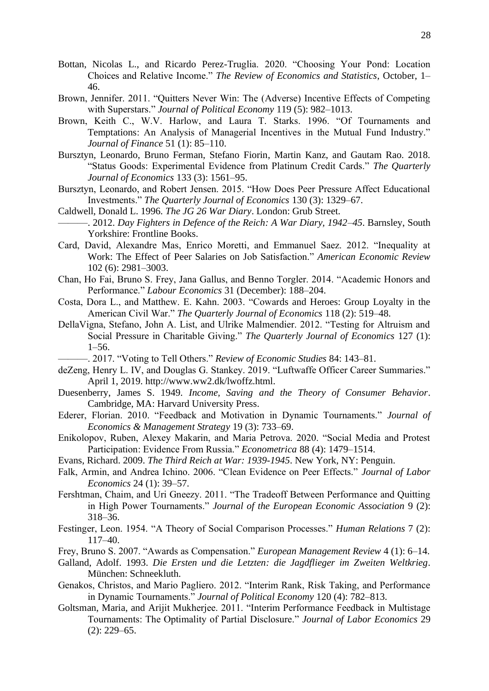- Bottan, Nicolas L., and Ricardo Perez-Truglia. 2020. "Choosing Your Pond: Location Choices and Relative Income." *The Review of Economics and Statistics*, October, 1– 46.
- Brown, Jennifer. 2011. "Quitters Never Win: The (Adverse) Incentive Effects of Competing with Superstars." *Journal of Political Economy* 119 (5): 982–1013.
- Brown, Keith C., W.V. Harlow, and Laura T. Starks. 1996. "Of Tournaments and Temptations: An Analysis of Managerial Incentives in the Mutual Fund Industry." *Journal of Finance* 51 (1): 85–110.
- Bursztyn, Leonardo, Bruno Ferman, Stefano Fiorin, Martin Kanz, and Gautam Rao. 2018. "Status Goods: Experimental Evidence from Platinum Credit Cards." *The Quarterly Journal of Economics* 133 (3): 1561–95.
- Bursztyn, Leonardo, and Robert Jensen. 2015. "How Does Peer Pressure Affect Educational Investments." *The Quarterly Journal of Economics* 130 (3): 1329–67.
- Caldwell, Donald L. 1996. *The JG 26 War Diary*. London: Grub Street.
- ———. 2012. *Day Fighters in Defence of the Reich: A War Diary, 1942–45*. Barnsley, South Yorkshire: Frontline Books.
- Card, David, Alexandre Mas, Enrico Moretti, and Emmanuel Saez. 2012. "Inequality at Work: The Effect of Peer Salaries on Job Satisfaction." *American Economic Review* 102 (6): 2981–3003.
- Chan, Ho Fai, Bruno S. Frey, Jana Gallus, and Benno Torgler. 2014. "Academic Honors and Performance." *Labour Economics* 31 (December): 188–204.
- Costa, Dora L., and Matthew. E. Kahn. 2003. "Cowards and Heroes: Group Loyalty in the American Civil War." *The Quarterly Journal of Economics* 118 (2): 519–48.
- DellaVigna, Stefano, John A. List, and Ulrike Malmendier. 2012. "Testing for Altruism and Social Pressure in Charitable Giving." *The Quarterly Journal of Economics* 127 (1): 1–56.
	- ———. 2017. "Voting to Tell Others." *Review of Economic Studies* 84: 143–81.
- deZeng, Henry L. IV, and Douglas G. Stankey. 2019. "Luftwaffe Officer Career Summaries." April 1, 2019. http://www.ww2.dk/lwoffz.html.
- Duesenberry, James S. 1949. *Income, Saving and the Theory of Consumer Behavior*. Cambridge, MA: Harvard University Press.
- Ederer, Florian. 2010. "Feedback and Motivation in Dynamic Tournaments." *Journal of Economics & Management Strategy* 19 (3): 733–69.
- Enikolopov, Ruben, Alexey Makarin, and Maria Petrova. 2020. "Social Media and Protest Participation: Evidence From Russia." *Econometrica* 88 (4): 1479–1514.
- Evans, Richard. 2009. *The Third Reich at War: 1939-1945*. New York, NY: Penguin.
- Falk, Armin, and Andrea Ichino. 2006. "Clean Evidence on Peer Effects." *Journal of Labor Economics* 24 (1): 39–57.
- Fershtman, Chaim, and Uri Gneezy. 2011. "The Tradeoff Between Performance and Quitting in High Power Tournaments." *Journal of the European Economic Association* 9 (2): 318–36.
- Festinger, Leon. 1954. "A Theory of Social Comparison Processes." *Human Relations* 7 (2): 117–40.
- Frey, Bruno S. 2007. "Awards as Compensation." *European Management Review* 4 (1): 6–14.
- Galland, Adolf. 1993. *Die Ersten und die Letzten: die Jagdflieger im Zweiten Weltkrieg*. München: Schneekluth.
- Genakos, Christos, and Mario Pagliero. 2012. "Interim Rank, Risk Taking, and Performance in Dynamic Tournaments." *Journal of Political Economy* 120 (4): 782–813.
- Goltsman, Maria, and Arijit Mukherjee. 2011. "Interim Performance Feedback in Multistage Tournaments: The Optimality of Partial Disclosure." *Journal of Labor Economics* 29 (2): 229–65.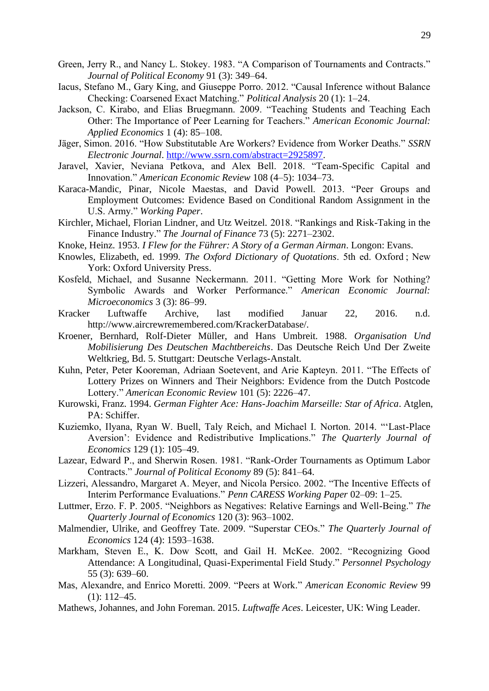- Green, Jerry R., and Nancy L. Stokey. 1983. "A Comparison of Tournaments and Contracts." *Journal of Political Economy* 91 (3): 349–64.
- Iacus, Stefano M., Gary King, and Giuseppe Porro. 2012. "Causal Inference without Balance Checking: Coarsened Exact Matching." *Political Analysis* 20 (1): 1–24.
- Jackson, C. Kirabo, and Elias Bruegmann. 2009. "Teaching Students and Teaching Each Other: The Importance of Peer Learning for Teachers." *American Economic Journal: Applied Economics* 1 (4): 85–108.
- Jäger, Simon. 2016. "How Substitutable Are Workers? Evidence from Worker Deaths." *SSRN Electronic Journal*. [http://www.ssrn.com/abstract=2925897.](http://www.ssrn.com/abstract=2925897)
- Jaravel, Xavier, Neviana Petkova, and Alex Bell. 2018. "Team-Specific Capital and Innovation." *American Economic Review* 108 (4–5): 1034–73.
- Karaca-Mandic, Pinar, Nicole Maestas, and David Powell. 2013. "Peer Groups and Employment Outcomes: Evidence Based on Conditional Random Assignment in the U.S. Army." *Working Paper*.
- Kirchler, Michael, Florian Lindner, and Utz Weitzel. 2018. "Rankings and Risk-Taking in the Finance Industry." *The Journal of Finance* 73 (5): 2271–2302.
- Knoke, Heinz. 1953. *I Flew for the Führer: A Story of a German Airman*. Longon: Evans.
- Knowles, Elizabeth, ed. 1999. *The Oxford Dictionary of Quotations*. 5th ed. Oxford ; New York: Oxford University Press.
- Kosfeld, Michael, and Susanne Neckermann. 2011. "Getting More Work for Nothing? Symbolic Awards and Worker Performance." *American Economic Journal: Microeconomics* 3 (3): 86–99.
- Kracker Luftwaffe Archive, last modified Januar 22, 2016. n.d. http://www.aircrewremembered.com/KrackerDatabase/.
- Kroener, Bernhard, Rolf-Dieter Müller, and Hans Umbreit. 1988. *Organisation Und Mobilisierung Des Deutschen Machtbereichs*. Das Deutsche Reich Und Der Zweite Weltkrieg, Bd. 5. Stuttgart: Deutsche Verlags-Anstalt.
- Kuhn, Peter, Peter Kooreman, Adriaan Soetevent, and Arie Kapteyn. 2011. "The Effects of Lottery Prizes on Winners and Their Neighbors: Evidence from the Dutch Postcode Lottery." *American Economic Review* 101 (5): 2226–47.
- Kurowski, Franz. 1994. *German Fighter Ace: Hans-Joachim Marseille: Star of Africa*. Atglen, PA: Schiffer.
- Kuziemko, Ilyana, Ryan W. Buell, Taly Reich, and Michael I. Norton. 2014. "'Last-Place Aversion': Evidence and Redistributive Implications." *The Quarterly Journal of Economics* 129 (1): 105–49.
- Lazear, Edward P., and Sherwin Rosen. 1981. "Rank-Order Tournaments as Optimum Labor Contracts." *Journal of Political Economy* 89 (5): 841–64.
- Lizzeri, Alessandro, Margaret A. Meyer, and Nicola Persico. 2002. "The Incentive Effects of Interim Performance Evaluations." *Penn CARESS Working Paper* 02–09: 1–25.
- Luttmer, Erzo. F. P. 2005. "Neighbors as Negatives: Relative Earnings and Well-Being." *The Quarterly Journal of Economics* 120 (3): 963–1002.
- Malmendier, Ulrike, and Geoffrey Tate. 2009. "Superstar CEOs." *The Quarterly Journal of Economics* 124 (4): 1593–1638.
- Markham, Steven E., K. Dow Scott, and Gail H. McKee. 2002. "Recognizing Good Attendance: A Longitudinal, Quasi-Experimental Field Study." *Personnel Psychology* 55 (3): 639–60.
- Mas, Alexandre, and Enrico Moretti. 2009. "Peers at Work." *American Economic Review* 99 (1): 112–45.
- Mathews, Johannes, and John Foreman. 2015. *Luftwaffe Aces*. Leicester, UK: Wing Leader.